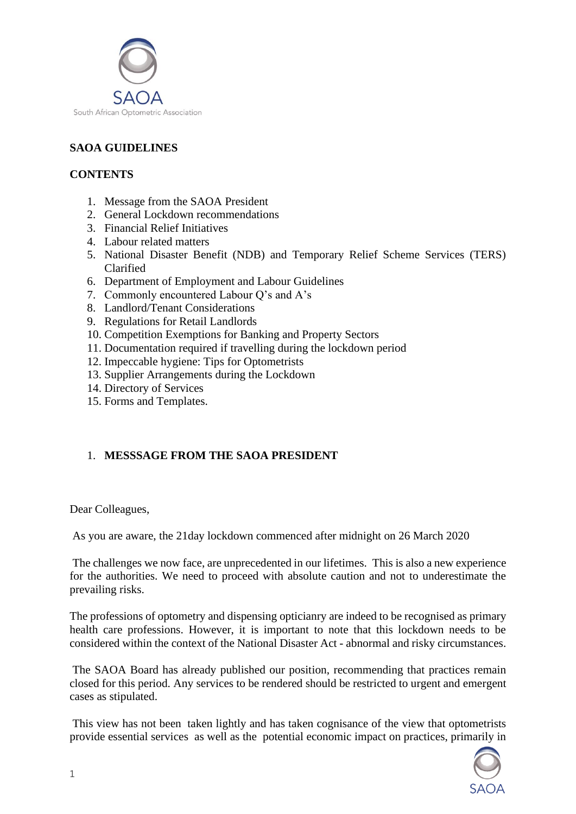

# **SAOA GUIDELINES**

## **CONTENTS**

- 1. Message from the SAOA President
- 2. General Lockdown recommendations
- 3. Financial Relief Initiatives
- 4. Labour related matters
- 5. National Disaster Benefit (NDB) and Temporary Relief Scheme Services (TERS) Clarified
- 6. Department of Employment and Labour Guidelines
- 7. Commonly encountered Labour Q's and A's
- 8. Landlord/Tenant Considerations
- 9. Regulations for Retail Landlords
- 10. Competition Exemptions for Banking and Property Sectors
- 11. Documentation required if travelling during the lockdown period
- 12. Impeccable hygiene: Tips for Optometrists
- 13. Supplier Arrangements during the Lockdown
- 14. Directory of Services
- 15. Forms and Templates.

# 1. **MESSSAGE FROM THE SAOA PRESIDENT**

Dear Colleagues,

As you are aware, the 21day lockdown commenced after midnight on 26 March 2020

The challenges we now face, are unprecedented in our lifetimes. This is also a new experience for the authorities. We need to proceed with absolute caution and not to underestimate the prevailing risks.

The professions of optometry and dispensing opticianry are indeed to be recognised as primary health care professions. However, it is important to note that this lockdown needs to be considered within the context of the National Disaster Act - abnormal and risky circumstances.

The SAOA Board has already published our position, recommending that practices remain closed for this period. Any services to be rendered should be restricted to urgent and emergent cases as stipulated.

This view has not been taken lightly and has taken cognisance of the view that optometrists provide essential services as well as the potential economic impact on practices, primarily in

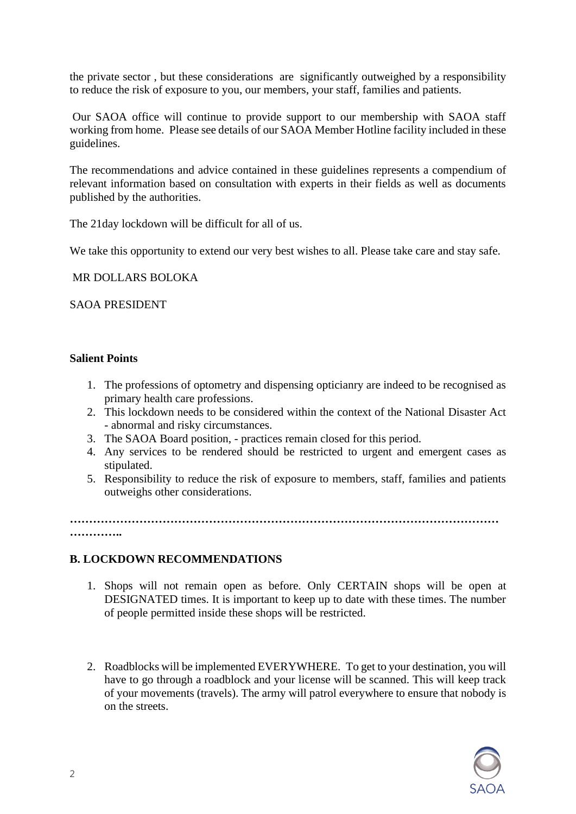the private sector , but these considerations are significantly outweighed by a responsibility to reduce the risk of exposure to you, our members, your staff, families and patients.

Our SAOA office will continue to provide support to our membership with SAOA staff working from home. Please see details of our SAOA Member Hotline facility included in these guidelines.

The recommendations and advice contained in these guidelines represents a compendium of relevant information based on consultation with experts in their fields as well as documents published by the authorities.

The 21day lockdown will be difficult for all of us.

We take this opportunity to extend our very best wishes to all. Please take care and stay safe.

## MR DOLLARS BOLOKA

## SAOA PRESIDENT

## **Salient Points**

- 1. The professions of optometry and dispensing opticianry are indeed to be recognised as primary health care professions.
- 2. This lockdown needs to be considered within the context of the National Disaster Act - abnormal and risky circumstances.
- 3. The SAOA Board position, practices remain closed for this period.
- 4. Any services to be rendered should be restricted to urgent and emergent cases as stipulated.
- 5. Responsibility to reduce the risk of exposure to members, staff, families and patients outweighs other considerations.

**………………………………………………………………………………………………… …………..**

## **B. LOCKDOWN RECOMMENDATIONS**

- 1. Shops will not remain open as before. Only CERTAIN shops will be open at DESIGNATED times. It is important to keep up to date with these times. The number of people permitted inside these shops will be restricted.
- 2. Roadblocks will be implemented EVERYWHERE. To get to your destination, you will have to go through a roadblock and your license will be scanned. This will keep track of your movements (travels). The army will patrol everywhere to ensure that nobody is on the streets.

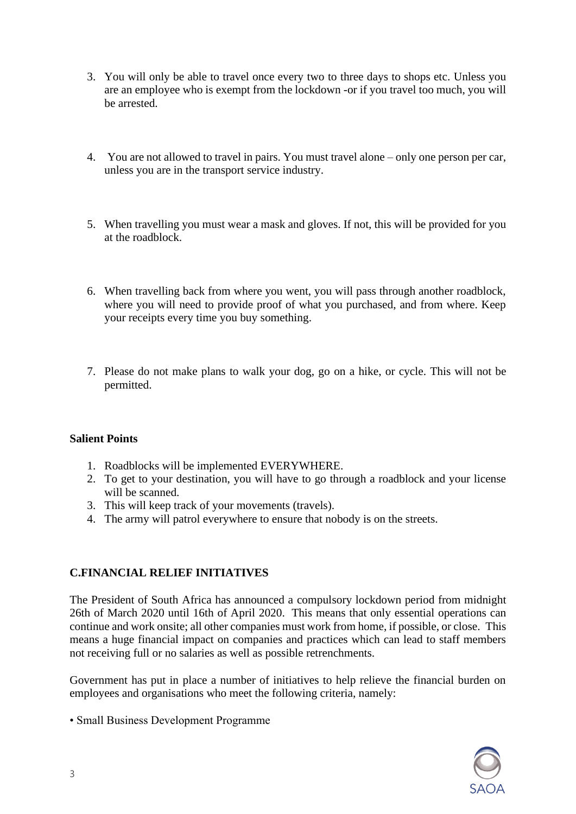- 3. You will only be able to travel once every two to three days to shops etc. Unless you are an employee who is exempt from the lockdown -or if you travel too much, you will be arrested.
- 4. You are not allowed to travel in pairs. You must travel alone only one person per car, unless you are in the transport service industry.
- 5. When travelling you must wear a mask and gloves. If not, this will be provided for you at the roadblock.
- 6. When travelling back from where you went, you will pass through another roadblock, where you will need to provide proof of what you purchased, and from where. Keep your receipts every time you buy something.
- 7. Please do not make plans to walk your dog, go on a hike, or cycle. This will not be permitted.

## **Salient Points**

- 1. Roadblocks will be implemented EVERYWHERE.
- 2. To get to your destination, you will have to go through a roadblock and your license will be scanned.
- 3. This will keep track of your movements (travels).
- 4. The army will patrol everywhere to ensure that nobody is on the streets.

## **C.FINANCIAL RELIEF INITIATIVES**

The President of South Africa has announced a compulsory lockdown period from midnight 26th of March 2020 until 16th of April 2020. This means that only essential operations can continue and work onsite; all other companies must work from home, if possible, or close. This means a huge financial impact on companies and practices which can lead to staff members not receiving full or no salaries as well as possible retrenchments.

Government has put in place a number of initiatives to help relieve the financial burden on employees and organisations who meet the following criteria, namely:

• Small Business Development Programme

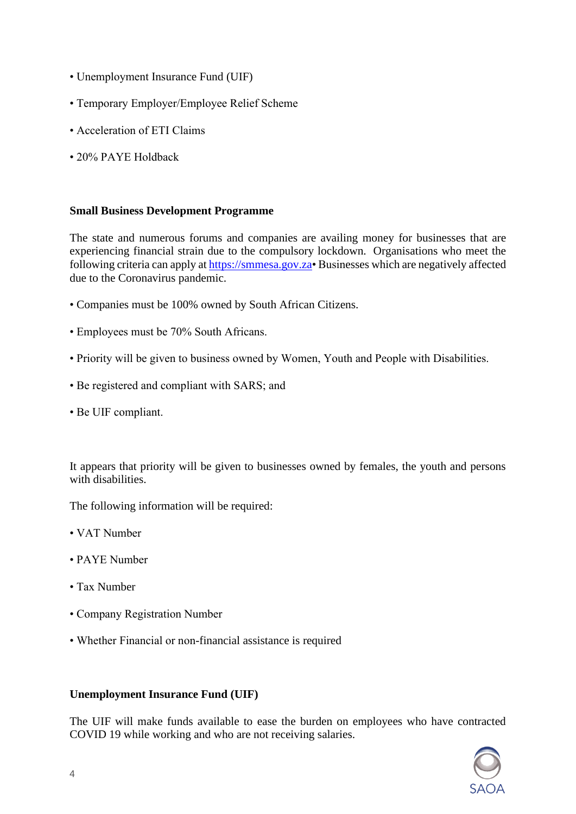- Unemployment Insurance Fund (UIF)
- Temporary Employer/Employee Relief Scheme
- Acceleration of ETI Claims
- 20% PAYE Holdback

#### **Small Business Development Programme**

The state and numerous forums and companies are availing money for businesses that are experiencing financial strain due to the compulsory lockdown. Organisations who meet the following criteria can apply at [https://smmesa.gov.za•](https://smmesa.gov.za/) Businesses which are negatively affected due to the Coronavirus pandemic.

- Companies must be 100% owned by South African Citizens.
- Employees must be 70% South Africans.
- Priority will be given to business owned by Women, Youth and People with Disabilities.
- Be registered and compliant with SARS; and
- Be UIF compliant.

It appears that priority will be given to businesses owned by females, the youth and persons with disabilities.

The following information will be required:

- VAT Number
- PAYE Number
- Tax Number
- Company Registration Number
- Whether Financial or non-financial assistance is required

#### **Unemployment Insurance Fund (UIF)**

The UIF will make funds available to ease the burden on employees who have contracted COVID 19 while working and who are not receiving salaries.

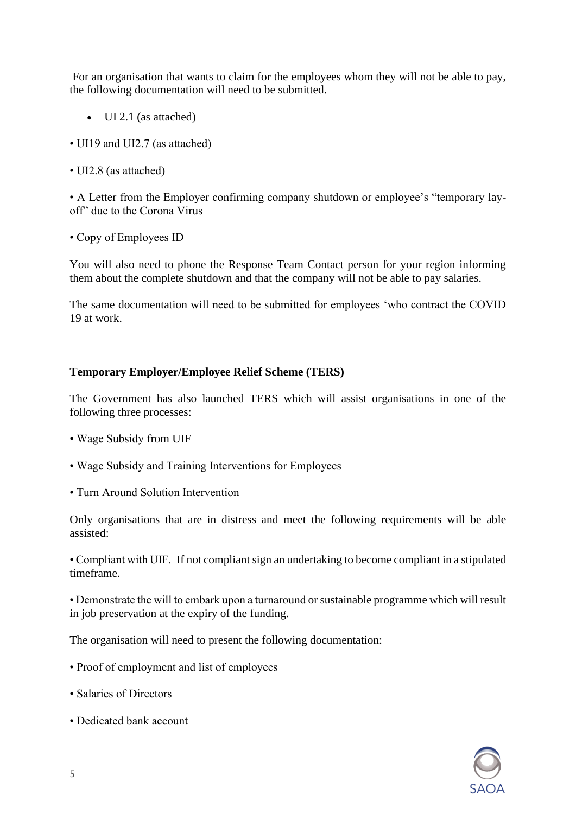For an organisation that wants to claim for the employees whom they will not be able to pay, the following documentation will need to be submitted.

- UI 2.1 (as attached)
- UI19 and UI2.7 (as attached)
- UI2.8 (as attached)

• A Letter from the Employer confirming company shutdown or employee's "temporary layoff" due to the Corona Virus

• Copy of Employees ID

You will also need to phone the Response Team Contact person for your region informing them about the complete shutdown and that the company will not be able to pay salaries.

The same documentation will need to be submitted for employees 'who contract the COVID 19 at work.

## **Temporary Employer/Employee Relief Scheme (TERS)**

The Government has also launched TERS which will assist organisations in one of the following three processes:

- Wage Subsidy from UIF
- Wage Subsidy and Training Interventions for Employees
- Turn Around Solution Intervention

Only organisations that are in distress and meet the following requirements will be able assisted:

• Compliant with UIF. If not compliant sign an undertaking to become compliant in a stipulated timeframe.

• Demonstrate the will to embark upon a turnaround or sustainable programme which will result in job preservation at the expiry of the funding.

The organisation will need to present the following documentation:

- Proof of employment and list of employees
- Salaries of Directors
- Dedicated bank account

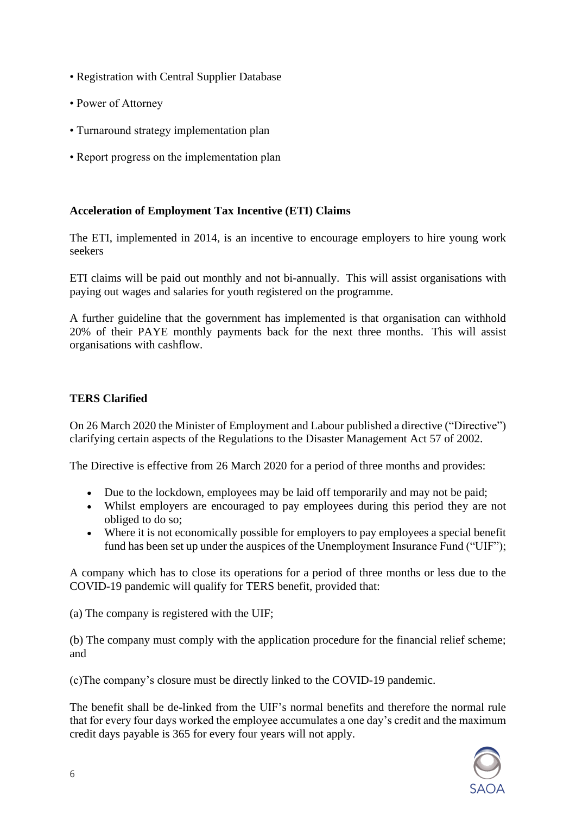- Registration with Central Supplier Database
- Power of Attorney
- Turnaround strategy implementation plan
- Report progress on the implementation plan

## **Acceleration of Employment Tax Incentive (ETI) Claims**

The ETI, implemented in 2014, is an incentive to encourage employers to hire young work seekers

ETI claims will be paid out monthly and not bi-annually. This will assist organisations with paying out wages and salaries for youth registered on the programme.

A further guideline that the government has implemented is that organisation can withhold 20% of their PAYE monthly payments back for the next three months. This will assist organisations with cashflow.

# **TERS Clarified**

On 26 March 2020 the Minister of Employment and Labour published a directive ("Directive") clarifying certain aspects of the Regulations to the Disaster Management Act 57 of 2002.

The Directive is effective from 26 March 2020 for a period of three months and provides:

- Due to the lockdown, employees may be laid off temporarily and may not be paid;
- Whilst employers are encouraged to pay employees during this period they are not obliged to do so;
- Where it is not economically possible for employers to pay employees a special benefit fund has been set up under the auspices of the Unemployment Insurance Fund ("UIF");

A company which has to close its operations for a period of three months or less due to the COVID-19 pandemic will qualify for TERS benefit, provided that:

(a) The company is registered with the UIF;

(b) The company must comply with the application procedure for the financial relief scheme; and

(c)The company's closure must be directly linked to the COVID-19 pandemic.

The benefit shall be de-linked from the UIF's normal benefits and therefore the normal rule that for every four days worked the employee accumulates a one day's credit and the maximum credit days payable is 365 for every four years will not apply.

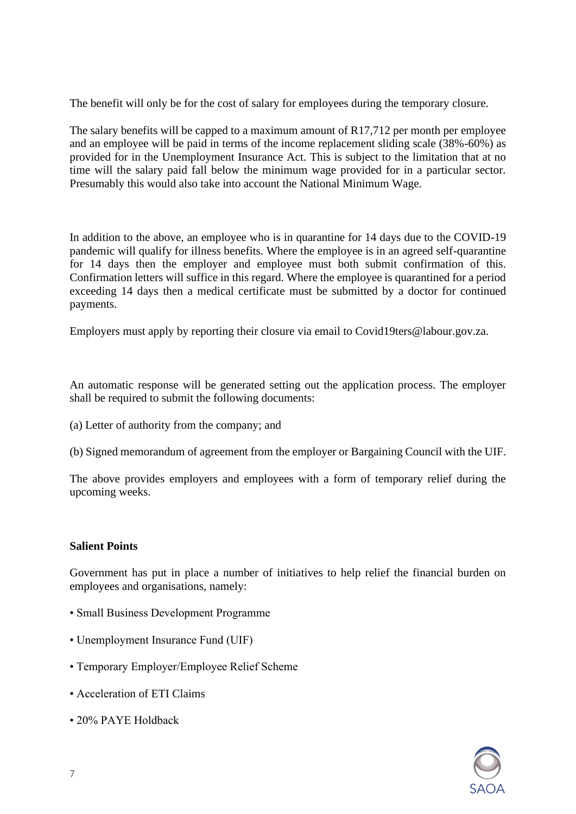The benefit will only be for the cost of salary for employees during the temporary closure.

The salary benefits will be capped to a maximum amount of R17,712 per month per employee and an employee will be paid in terms of the income replacement sliding scale (38%-60%) as provided for in the Unemployment Insurance Act. This is subject to the limitation that at no time will the salary paid fall below the minimum wage provided for in a particular sector. Presumably this would also take into account the National Minimum Wage.

In addition to the above, an employee who is in quarantine for 14 days due to the COVID-19 pandemic will qualify for illness benefits. Where the employee is in an agreed self-quarantine for 14 days then the employer and employee must both submit confirmation of this. Confirmation letters will suffice in this regard. Where the employee is quarantined for a period exceeding 14 days then a medical certificate must be submitted by a doctor for continued payments.

Employers must apply by reporting their closure via email to Covid19ters@labour.gov.za.

An automatic response will be generated setting out the application process. The employer shall be required to submit the following documents:

- (a) Letter of authority from the company; and
- (b) Signed memorandum of agreement from the employer or Bargaining Council with the UIF.

The above provides employers and employees with a form of temporary relief during the upcoming weeks.

#### **Salient Points**

Government has put in place a number of initiatives to help relief the financial burden on employees and organisations, namely:

- Small Business Development Programme
- Unemployment Insurance Fund (UIF)
- Temporary Employer/Employee Relief Scheme
- Acceleration of ETI Claims
- 20% PAYE Holdback

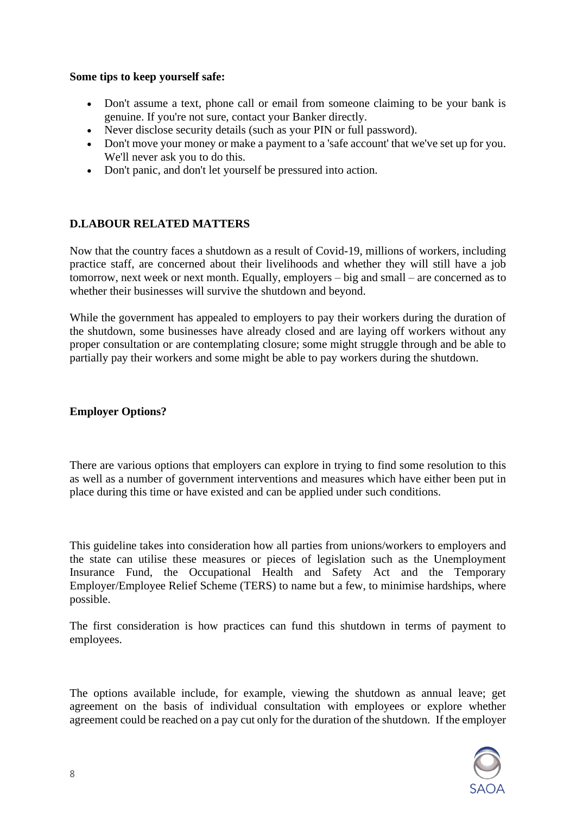## **Some tips to keep yourself safe:**

- Don't assume a text, phone call or email from someone claiming to be your bank is genuine. If you're not sure, contact your Banker directly.
- Never disclose security details (such as your PIN or full password).
- Don't move your money or make a payment to a 'safe account' that we've set up for you. We'll never ask you to do this.
- Don't panic, and don't let yourself be pressured into action.

# **D.LABOUR RELATED MATTERS**

Now that the country faces a shutdown as a result of Covid-19, millions of workers, including practice staff, are concerned about their livelihoods and whether they will still have a job tomorrow, next week or next month. Equally, employers – big and small – are concerned as to whether their businesses will survive the shutdown and beyond.

While the government has appealed to employers to pay their workers during the duration of the shutdown, some businesses have already closed and are laying off workers without any proper consultation or are contemplating closure; some might struggle through and be able to partially pay their workers and some might be able to pay workers during the shutdown.

## **Employer Options?**

There are various options that employers can explore in trying to find some resolution to this as well as a number of government interventions and measures which have either been put in place during this time or have existed and can be applied under such conditions.

This guideline takes into consideration how all parties from unions/workers to employers and the state can utilise these measures or pieces of legislation such as the Unemployment Insurance Fund, the Occupational Health and Safety Act and the Temporary Employer/Employee Relief Scheme (TERS) to name but a few, to minimise hardships, where possible.

The first consideration is how practices can fund this shutdown in terms of payment to employees.

The options available include, for example, viewing the shutdown as annual leave; get agreement on the basis of individual consultation with employees or explore whether agreement could be reached on a pay cut only for the duration of the shutdown. If the employer

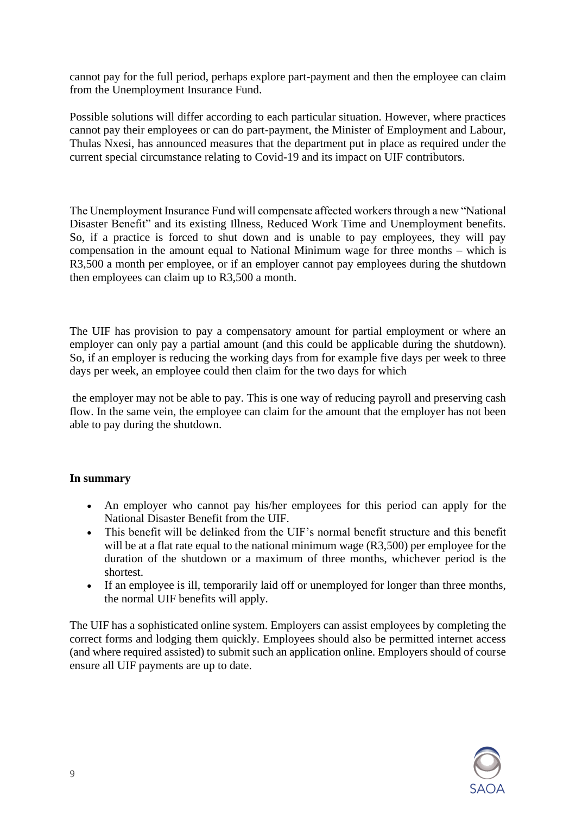cannot pay for the full period, perhaps explore part-payment and then the employee can claim from the Unemployment Insurance Fund.

Possible solutions will differ according to each particular situation. However, where practices cannot pay their employees or can do part-payment, the Minister of Employment and Labour, Thulas Nxesi, has announced measures that the department put in place as required under the current special circumstance relating to Covid-19 and its impact on UIF contributors.

The Unemployment Insurance Fund will compensate affected workers through a new "National Disaster Benefit" and its existing Illness, Reduced Work Time and Unemployment benefits. So, if a practice is forced to shut down and is unable to pay employees, they will pay compensation in the amount equal to National Minimum wage for three months – which is R3,500 a month per employee, or if an employer cannot pay employees during the shutdown then employees can claim up to R3,500 a month.

The UIF has provision to pay a compensatory amount for partial employment or where an employer can only pay a partial amount (and this could be applicable during the shutdown). So, if an employer is reducing the working days from for example five days per week to three days per week, an employee could then claim for the two days for which

the employer may not be able to pay. This is one way of reducing payroll and preserving cash flow. In the same vein, the employee can claim for the amount that the employer has not been able to pay during the shutdown.

## **In summary**

- An employer who cannot pay his/her employees for this period can apply for the National Disaster Benefit from the UIF.
- This benefit will be delinked from the UIF's normal benefit structure and this benefit will be at a flat rate equal to the national minimum wage (R3,500) per employee for the duration of the shutdown or a maximum of three months, whichever period is the shortest.
- If an employee is ill, temporarily laid off or unemployed for longer than three months, the normal UIF benefits will apply.

The UIF has a sophisticated online system. Employers can assist employees by completing the correct forms and lodging them quickly. Employees should also be permitted internet access (and where required assisted) to submit such an application online. Employers should of course ensure all UIF payments are up to date.

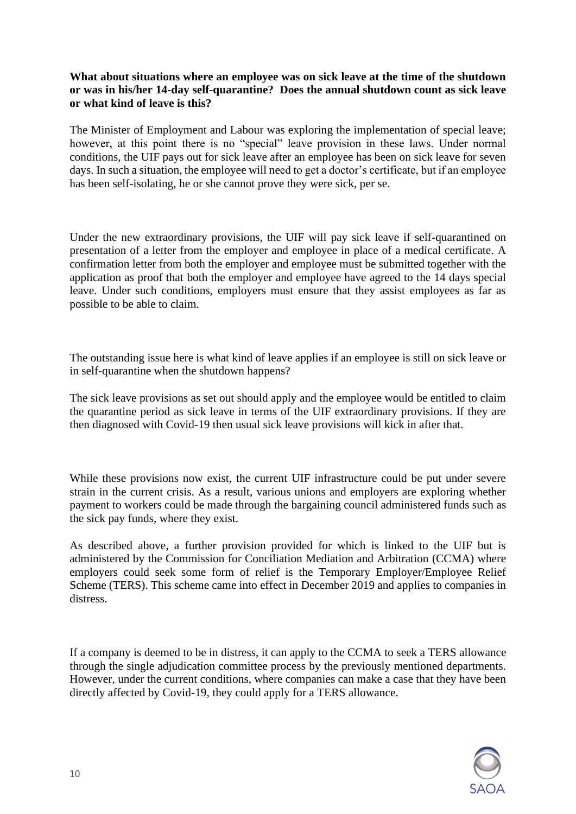## **What about situations where an employee was on sick leave at the time of the shutdown or was in his/her 14-day self-quarantine? Does the annual shutdown count as sick leave or what kind of leave is this?**

The Minister of Employment and Labour was exploring the implementation of special leave; however, at this point there is no "special" leave provision in these laws. Under normal conditions, the UIF pays out for sick leave after an employee has been on sick leave for seven days. In such a situation, the employee will need to get a doctor's certificate, but if an employee has been self-isolating, he or she cannot prove they were sick, per se.

Under the new extraordinary provisions, the UIF will pay sick leave if self-quarantined on presentation of a letter from the employer and employee in place of a medical certificate. A confirmation letter from both the employer and employee must be submitted together with the application as proof that both the employer and employee have agreed to the 14 days special leave. Under such conditions, employers must ensure that they assist employees as far as possible to be able to claim.

The outstanding issue here is what kind of leave applies if an employee is still on sick leave or in self-quarantine when the shutdown happens?

The sick leave provisions as set out should apply and the employee would be entitled to claim the quarantine period as sick leave in terms of the UIF extraordinary provisions. If they are then diagnosed with Covid-19 then usual sick leave provisions will kick in after that.

While these provisions now exist, the current UIF infrastructure could be put under severe strain in the current crisis. As a result, various unions and employers are exploring whether payment to workers could be made through the bargaining council administered funds such as the sick pay funds, where they exist.

As described above, a further provision provided for which is linked to the UIF but is administered by the Commission for Conciliation Mediation and Arbitration (CCMA) where employers could seek some form of relief is the Temporary Employer/Employee Relief Scheme (TERS). This scheme came into effect in December 2019 and applies to companies in distress.

If a company is deemed to be in distress, it can apply to the CCMA to seek a TERS allowance through the single adjudication committee process by the previously mentioned departments. However, under the current conditions, where companies can make a case that they have been directly affected by Covid-19, they could apply for a TERS allowance.

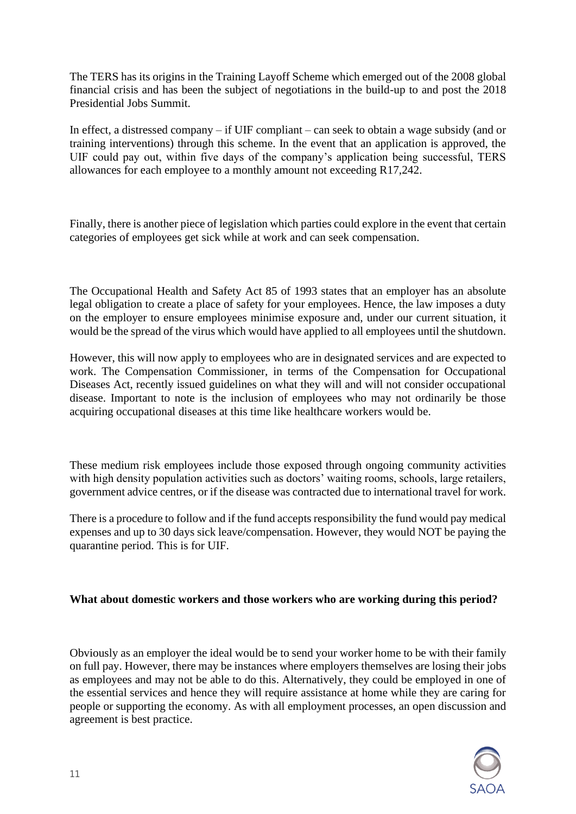The TERS has its origins in the Training Layoff Scheme which emerged out of the 2008 global financial crisis and has been the subject of negotiations in the build-up to and post the 2018 Presidential Jobs Summit.

In effect, a distressed company – if UIF compliant – can seek to obtain a wage subsidy (and or training interventions) through this scheme. In the event that an application is approved, the UIF could pay out, within five days of the company's application being successful, TERS allowances for each employee to a monthly amount not exceeding R17,242.

Finally, there is another piece of legislation which parties could explore in the event that certain categories of employees get sick while at work and can seek compensation.

The Occupational Health and Safety Act 85 of 1993 states that an employer has an absolute legal obligation to create a place of safety for your employees. Hence, the law imposes a duty on the employer to ensure employees minimise exposure and, under our current situation, it would be the spread of the virus which would have applied to all employees until the shutdown.

However, this will now apply to employees who are in designated services and are expected to work. The Compensation Commissioner, in terms of the Compensation for Occupational Diseases Act, recently issued guidelines on what they will and will not consider occupational disease. Important to note is the inclusion of employees who may not ordinarily be those acquiring occupational diseases at this time like healthcare workers would be.

These medium risk employees include those exposed through ongoing community activities with high density population activities such as doctors' waiting rooms, schools, large retailers, government advice centres, or if the disease was contracted due to international travel for work.

There is a procedure to follow and if the fund accepts responsibility the fund would pay medical expenses and up to 30 days sick leave/compensation. However, they would NOT be paying the quarantine period. This is for UIF.

## **What about domestic workers and those workers who are working during this period?**

Obviously as an employer the ideal would be to send your worker home to be with their family on full pay. However, there may be instances where employers themselves are losing their jobs as employees and may not be able to do this. Alternatively, they could be employed in one of the essential services and hence they will require assistance at home while they are caring for people or supporting the economy. As with all employment processes, an open discussion and agreement is best practice.

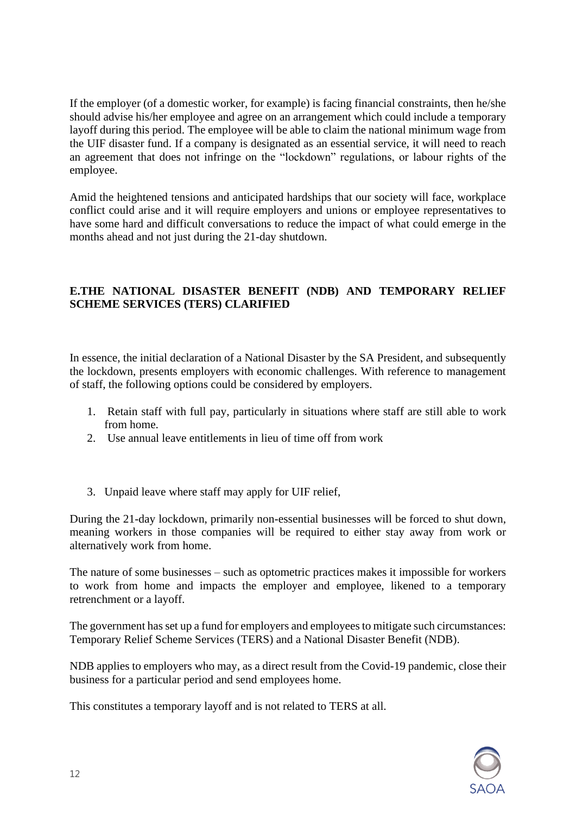If the employer (of a domestic worker, for example) is facing financial constraints, then he/she should advise his/her employee and agree on an arrangement which could include a temporary layoff during this period. The employee will be able to claim the national minimum wage from the UIF disaster fund. If a company is designated as an essential service, it will need to reach an agreement that does not infringe on the "lockdown" regulations, or labour rights of the employee.

Amid the heightened tensions and anticipated hardships that our society will face, workplace conflict could arise and it will require employers and unions or employee representatives to have some hard and difficult conversations to reduce the impact of what could emerge in the months ahead and not just during the 21-day shutdown.

# **E.THE NATIONAL DISASTER BENEFIT (NDB) AND TEMPORARY RELIEF SCHEME SERVICES (TERS) CLARIFIED**

In essence, the initial declaration of a National Disaster by the SA President, and subsequently the lockdown, presents employers with economic challenges. With reference to management of staff, the following options could be considered by employers.

- 1. Retain staff with full pay, particularly in situations where staff are still able to work from home.
- 2. Use annual leave entitlements in lieu of time off from work
- 3. Unpaid leave where staff may apply for UIF relief,

During the 21-day lockdown, primarily non-essential businesses will be forced to shut down, meaning workers in those companies will be required to either stay away from work or alternatively work from home.

The nature of some businesses – such as optometric practices makes it impossible for workers to work from home and impacts the employer and employee, likened to a temporary retrenchment or a layoff.

The government has set up a fund for employers and employees to mitigate such circumstances: Temporary Relief Scheme Services (TERS) and a National Disaster Benefit (NDB).

NDB applies to employers who may, as a direct result from the Covid-19 pandemic, close their business for a particular period and send employees home.

This constitutes a temporary layoff and is not related to TERS at all.

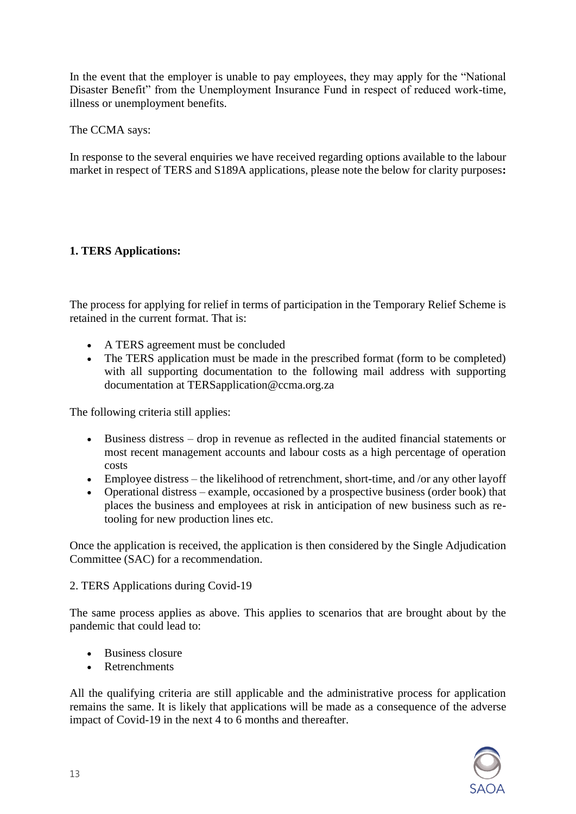In the event that the employer is unable to pay employees, they may apply for the "National Disaster Benefit" from the Unemployment Insurance Fund in respect of reduced work-time, illness or unemployment benefits.

The CCMA says:

In response to the several enquiries we have received regarding options available to the labour market in respect of TERS and S189A applications, please note the below for clarity purposes**:**

# **1. TERS Applications:**

The process for applying for relief in terms of participation in the Temporary Relief Scheme is retained in the current format. That is:

- A TERS agreement must be concluded
- The TERS application must be made in the prescribed format (form to be completed) with all supporting documentation to the following mail address with supporting documentation at TERSapplication@ccma.org.za

The following criteria still applies:

- Business distress drop in revenue as reflected in the audited financial statements or most recent management accounts and labour costs as a high percentage of operation costs
- Employee distress the likelihood of retrenchment, short-time, and /or any other layoff
- Operational distress example, occasioned by a prospective business (order book) that places the business and employees at risk in anticipation of new business such as retooling for new production lines etc.

Once the application is received, the application is then considered by the Single Adjudication Committee (SAC) for a recommendation.

## 2. TERS Applications during Covid-19

The same process applies as above. This applies to scenarios that are brought about by the pandemic that could lead to:

- Business closure
- Retrenchments

All the qualifying criteria are still applicable and the administrative process for application remains the same. It is likely that applications will be made as a consequence of the adverse impact of Covid-19 in the next 4 to 6 months and thereafter.

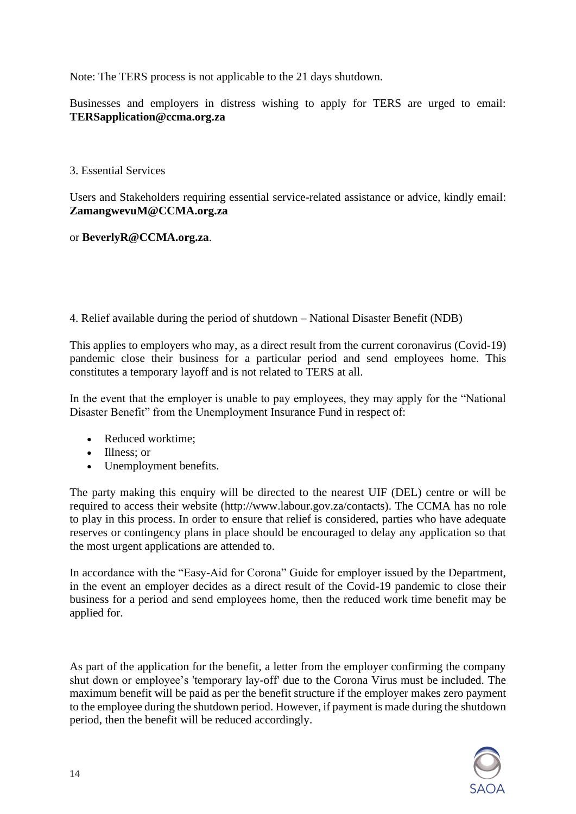Note: The TERS process is not applicable to the 21 days shutdown.

Businesses and employers in distress wishing to apply for TERS are urged to email: **[TERSapplication@ccma.org.za](mailto:TERSapplication@ccma.org.za)**

3. Essential Services

Users and Stakeholders requiring essential service-related assistance or advice, kindly email: **[ZamangwevuM@CCMA.org.za](mailto:ZamangwevuM@CCMA.org.za)**

or **[BeverlyR@CCMA.org.za](mailto:BeverlyR@CCMA.org.za)**.

4. Relief available during the period of shutdown – National Disaster Benefit (NDB)

This applies to employers who may, as a direct result from the current coronavirus (Covid-19) pandemic close their business for a particular period and send employees home. This constitutes a temporary layoff and is not related to TERS at all.

In the event that the employer is unable to pay employees, they may apply for the "National Disaster Benefit" from the Unemployment Insurance Fund in respect of:

- Reduced worktime;
- Illness: or
- Unemployment benefits.

The party making this enquiry will be directed to the nearest UIF (DEL) centre or will be required to access their website (http://www.labour.gov.za/contacts). The CCMA has no role to play in this process. In order to ensure that relief is considered, parties who have adequate reserves or contingency plans in place should be encouraged to delay any application so that the most urgent applications are attended to.

In accordance with the "Easy-Aid for Corona" Guide for employer issued by the Department, in the event an employer decides as a direct result of the Covid-19 pandemic to close their business for a period and send employees home, then the reduced work time benefit may be applied for.

As part of the application for the benefit, a letter from the employer confirming the company shut down or employee's 'temporary lay-off' due to the Corona Virus must be included. The maximum benefit will be paid as per the benefit structure if the employer makes zero payment to the employee during the shutdown period. However, if payment is made during the shutdown period, then the benefit will be reduced accordingly.

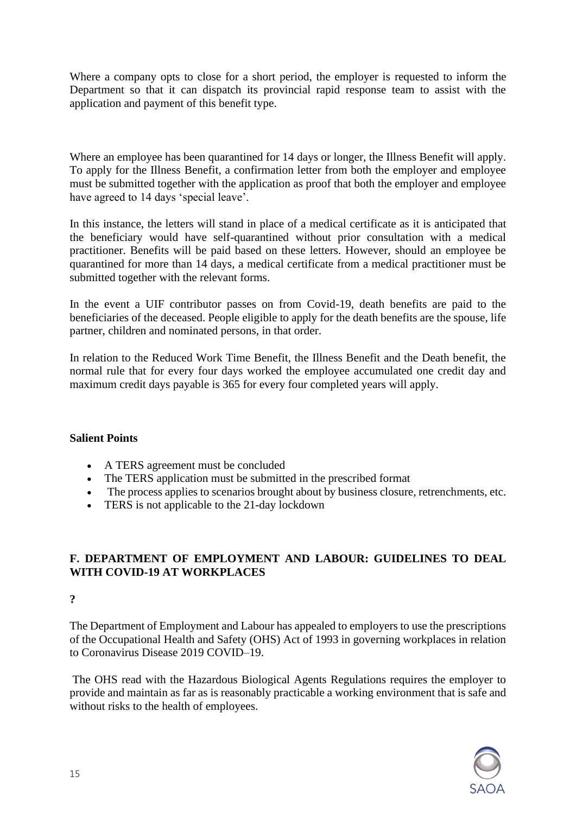Where a company opts to close for a short period, the employer is requested to inform the Department so that it can dispatch its provincial rapid response team to assist with the application and payment of this benefit type.

Where an employee has been quarantined for 14 days or longer, the Illness Benefit will apply. To apply for the Illness Benefit, a confirmation letter from both the employer and employee must be submitted together with the application as proof that both the employer and employee have agreed to 14 days 'special leave'.

In this instance, the letters will stand in place of a medical certificate as it is anticipated that the beneficiary would have self-quarantined without prior consultation with a medical practitioner. Benefits will be paid based on these letters. However, should an employee be quarantined for more than 14 days, a medical certificate from a medical practitioner must be submitted together with the relevant forms.

In the event a UIF contributor passes on from Covid-19, death benefits are paid to the beneficiaries of the deceased. People eligible to apply for the death benefits are the spouse, life partner, children and nominated persons, in that order.

In relation to the Reduced Work Time Benefit, the Illness Benefit and the Death benefit, the normal rule that for every four days worked the employee accumulated one credit day and maximum credit days payable is 365 for every four completed years will apply.

#### **Salient Points**

- A TERS agreement must be concluded
- The TERS application must be submitted in the prescribed format
- The process applies to scenarios brought about by business closure, retrenchments, etc.
- TERS is not applicable to the 21-day lockdown

# **F. DEPARTMENT OF EMPLOYMENT AND LABOUR: GUIDELINES TO DEAL WITH COVID-19 AT WORKPLACES**

**?**

The Department of Employment and Labour has appealed to employers to use the prescriptions of the Occupational Health and Safety (OHS) Act of 1993 in governing workplaces in relation to Coronavirus Disease 2019 COVID–19.

The OHS read with the Hazardous Biological Agents Regulations requires the employer to provide and maintain as far as is reasonably practicable a working environment that is safe and without risks to the health of employees.

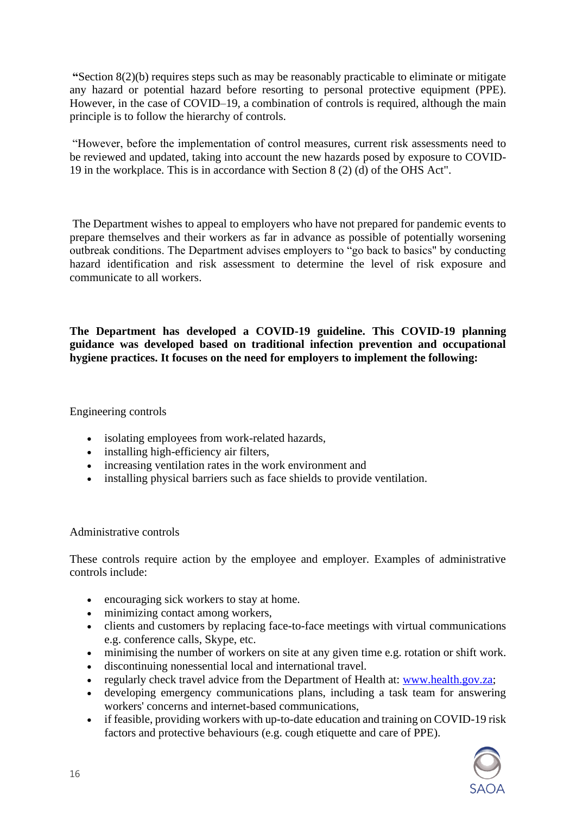**"**Section 8(2)(b) requires steps such as may be reasonably practicable to eliminate or mitigate any hazard or potential hazard before resorting to personal protective equipment (PPE). However, in the case of COVID–19, a combination of controls is required, although the main principle is to follow the hierarchy of controls.

"However, before the implementation of control measures, current risk assessments need to be reviewed and updated, taking into account the new hazards posed by exposure to COVID-19 in the workplace. This is in accordance with Section 8 (2) (d) of the OHS Act".

The Department wishes to appeal to employers who have not prepared for pandemic events to prepare themselves and their workers as far in advance as possible of potentially worsening outbreak conditions. The Department advises employers to "go back to basics" by conducting hazard identification and risk assessment to determine the level of risk exposure and communicate to all workers.

**The Department has developed a COVID-19 guideline. This COVID-19 planning guidance was developed based on traditional infection prevention and occupational hygiene practices. It focuses on the need for employers to implement the following:**

Engineering controls

- isolating employees from work-related hazards,
- installing high-efficiency air filters,
- increasing ventilation rates in the work environment and
- installing physical barriers such as face shields to provide ventilation.

Administrative controls

These controls require action by the employee and employer. Examples of administrative controls include:

- encouraging sick workers to stay at home.
- minimizing contact among workers,
- clients and customers by replacing face-to-face meetings with virtual communications e.g. conference calls, Skype, etc.
- minimising the number of workers on site at any given time e.g. rotation or shift work.
- discontinuing nonessential local and international travel.
- regularly check travel advice from the Department of Health at: [www.health.gov.za;](http://www.health.gov.za/)
- developing emergency communications plans, including a task team for answering workers' concerns and internet-based communications,
- if feasible, providing workers with up-to-date education and training on COVID-19 risk factors and protective behaviours (e.g. cough etiquette and care of PPE).

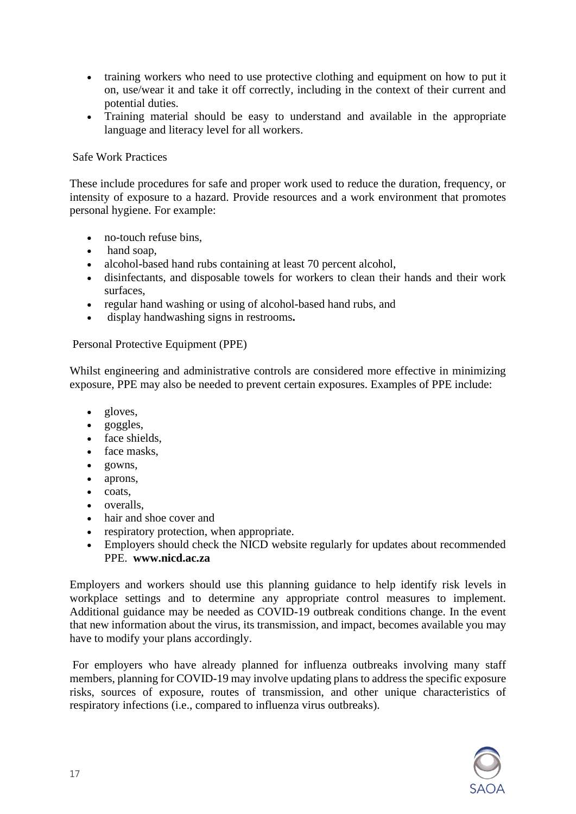- training workers who need to use protective clothing and equipment on how to put it on, use/wear it and take it off correctly, including in the context of their current and potential duties.
- Training material should be easy to understand and available in the appropriate language and literacy level for all workers.

## Safe Work Practices

These include procedures for safe and proper work used to reduce the duration, frequency, or intensity of exposure to a hazard. Provide resources and a work environment that promotes personal hygiene. For example:

- no-touch refuse bins,
- hand soap.
- alcohol-based hand rubs containing at least 70 percent alcohol,
- disinfectants, and disposable towels for workers to clean their hands and their work surfaces,
- regular hand washing or using of alcohol-based hand rubs, and
- display handwashing signs in restrooms**.**

## Personal Protective Equipment (PPE)

Whilst engineering and administrative controls are considered more effective in minimizing exposure, PPE may also be needed to prevent certain exposures. Examples of PPE include:

- gloves,
- goggles,
- face shields,
- face masks.
- gowns,
- aprons,
- coats,
- overalls,
- hair and shoe cover and
- respiratory protection, when appropriate.
- Employers should check the NICD website regularly for updates about recommended PPE. **www.nicd.ac.za**

Employers and workers should use this planning guidance to help identify risk levels in workplace settings and to determine any appropriate control measures to implement. Additional guidance may be needed as COVID-19 outbreak conditions change. In the event that new information about the virus, its transmission, and impact, becomes available you may have to modify your plans accordingly.

For employers who have already planned for influenza outbreaks involving many staff members, planning for COVID-19 may involve updating plans to address the specific exposure risks, sources of exposure, routes of transmission, and other unique characteristics of respiratory infections (i.e., compared to influenza virus outbreaks).

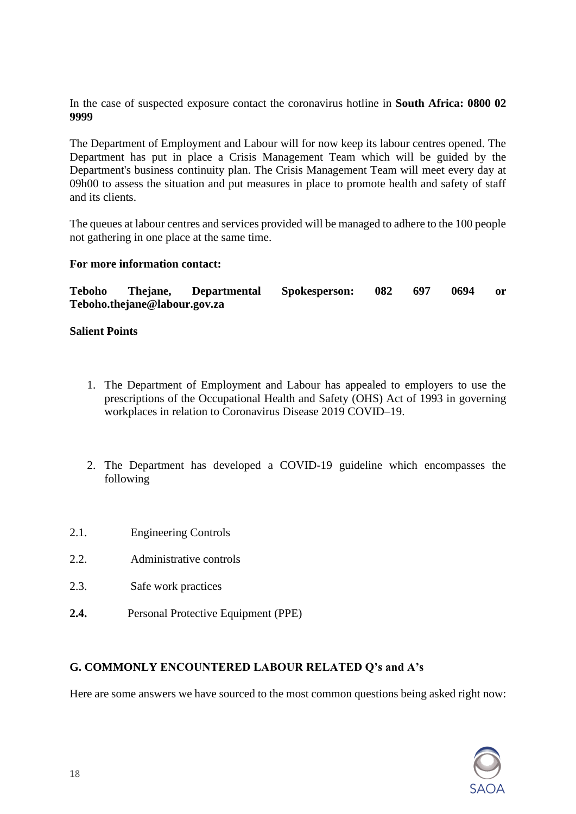In the case of suspected exposure contact the coronavirus hotline in **South Africa: 0800 02 9999**

The Department of Employment and Labour will for now keep its labour centres opened. The Department has put in place a Crisis Management Team which will be guided by the Department's business continuity plan. The Crisis Management Team will meet every day at 09h00 to assess the situation and put measures in place to promote health and safety of staff and its clients.

The queues at labour centres and services provided will be managed to adhere to the 100 people not gathering in one place at the same time.

#### **For more information contact:**

**Teboho Thejane, Departmental Spokesperson: 082 697 0694 or Teboho.thejane@labour.gov.za** 

## **Salient Points**

- 1. The Department of Employment and Labour has appealed to employers to use the prescriptions of the Occupational Health and Safety (OHS) Act of 1993 in governing workplaces in relation to Coronavirus Disease 2019 COVID–19.
- 2. The Department has developed a COVID-19 guideline which encompasses the following
- 2.1. Engineering Controls
- 2.2. Administrative controls
- 2.3. Safe work practices
- **2.4.** Personal Protective Equipment (PPE)

## **G. COMMONLY ENCOUNTERED LABOUR RELATED Q's and A's**

Here are some answers we have sourced to the most common questions being asked right now:

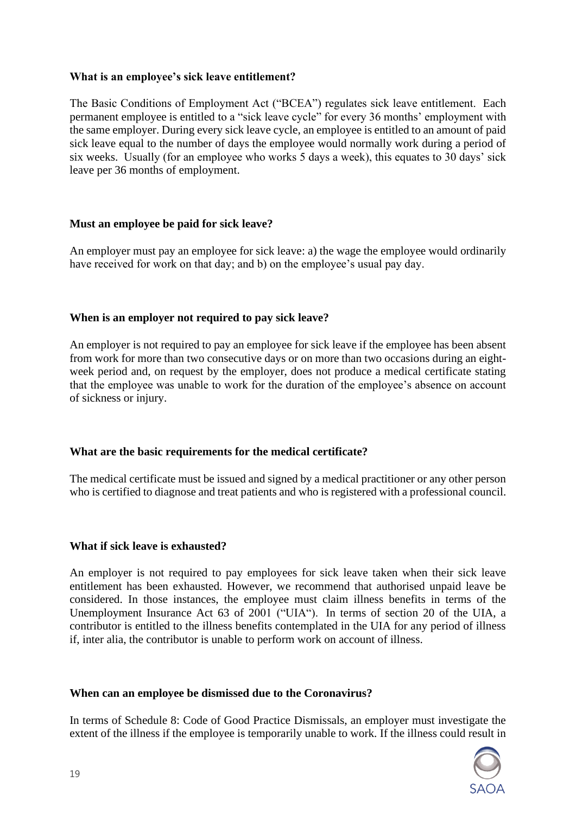## **What is an employee's sick leave entitlement?**

The Basic Conditions of Employment Act ("BCEA") regulates sick leave entitlement. Each permanent employee is entitled to a "sick leave cycle" for every 36 months' employment with the same employer. During every sick leave cycle, an employee is entitled to an amount of paid sick leave equal to the number of days the employee would normally work during a period of six weeks. Usually (for an employee who works 5 days a week), this equates to 30 days' sick leave per 36 months of employment.

## **Must an employee be paid for sick leave?**

An employer must pay an employee for sick leave: a) the wage the employee would ordinarily have received for work on that day; and b) on the employee's usual pay day.

## **When is an employer not required to pay sick leave?**

An employer is not required to pay an employee for sick leave if the employee has been absent from work for more than two consecutive days or on more than two occasions during an eightweek period and, on request by the employer, does not produce a medical certificate stating that the employee was unable to work for the duration of the employee's absence on account of sickness or injury.

#### **What are the basic requirements for the medical certificate?**

The medical certificate must be issued and signed by a medical practitioner or any other person who is certified to diagnose and treat patients and who is registered with a professional council.

#### **What if sick leave is exhausted?**

An employer is not required to pay employees for sick leave taken when their sick leave entitlement has been exhausted. However, we recommend that authorised unpaid leave be considered. In those instances, the employee must claim illness benefits in terms of the Unemployment Insurance Act 63 of 2001 ("UIA"). In terms of section 20 of the UIA, a contributor is entitled to the illness benefits contemplated in the UIA for any period of illness if, inter alia, the contributor is unable to perform work on account of illness.

#### **When can an employee be dismissed due to the Coronavirus?**

In terms of Schedule 8: Code of Good Practice Dismissals, an employer must investigate the extent of the illness if the employee is temporarily unable to work. If the illness could result in

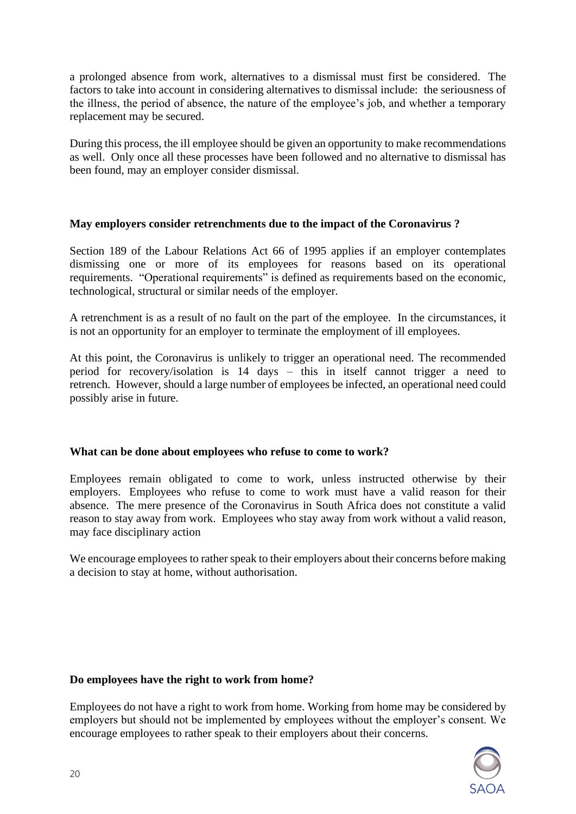a prolonged absence from work, alternatives to a dismissal must first be considered. The factors to take into account in considering alternatives to dismissal include: the seriousness of the illness, the period of absence, the nature of the employee's job, and whether a temporary replacement may be secured.

During this process, the ill employee should be given an opportunity to make recommendations as well. Only once all these processes have been followed and no alternative to dismissal has been found, may an employer consider dismissal.

## **May employers consider retrenchments due to the impact of the Coronavirus ?**

Section 189 of the Labour Relations Act 66 of 1995 applies if an employer contemplates dismissing one or more of its employees for reasons based on its operational requirements. "Operational requirements" is defined as requirements based on the economic, technological, structural or similar needs of the employer.

A retrenchment is as a result of no fault on the part of the employee. In the circumstances, it is not an opportunity for an employer to terminate the employment of ill employees.

At this point, the Coronavirus is unlikely to trigger an operational need. The recommended period for recovery/isolation is 14 days – this in itself cannot trigger a need to retrench. However, should a large number of employees be infected, an operational need could possibly arise in future.

## **What can be done about employees who refuse to come to work?**

Employees remain obligated to come to work, unless instructed otherwise by their employers. Employees who refuse to come to work must have a valid reason for their absence. The mere presence of the Coronavirus in South Africa does not constitute a valid reason to stay away from work. Employees who stay away from work without a valid reason, may face disciplinary action

We encourage employees to rather speak to their employers about their concerns before making a decision to stay at home, without authorisation.

## **Do employees have the right to work from home?**

Employees do not have a right to work from home. Working from home may be considered by employers but should not be implemented by employees without the employer's consent. We encourage employees to rather speak to their employers about their concerns.

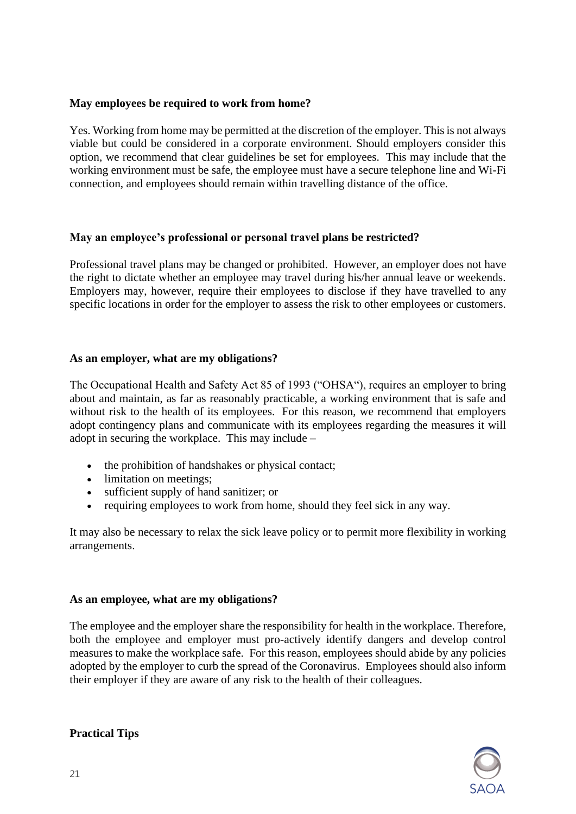## **May employees be required to work from home?**

Yes. Working from home may be permitted at the discretion of the employer. This is not always viable but could be considered in a corporate environment. Should employers consider this option, we recommend that clear guidelines be set for employees. This may include that the working environment must be safe, the employee must have a secure telephone line and Wi-Fi connection, and employees should remain within travelling distance of the office.

## **May an employee's professional or personal travel plans be restricted?**

Professional travel plans may be changed or prohibited. However, an employer does not have the right to dictate whether an employee may travel during his/her annual leave or weekends. Employers may, however, require their employees to disclose if they have travelled to any specific locations in order for the employer to assess the risk to other employees or customers.

## **As an employer, what are my obligations?**

The Occupational Health and Safety Act 85 of 1993 ("OHSA"), requires an employer to bring about and maintain, as far as reasonably practicable, a working environment that is safe and without risk to the health of its employees. For this reason, we recommend that employers adopt contingency plans and communicate with its employees regarding the measures it will adopt in securing the workplace. This may include –

- the prohibition of handshakes or physical contact;
- limitation on meetings;
- sufficient supply of hand sanitizer; or
- requiring employees to work from home, should they feel sick in any way.

It may also be necessary to relax the sick leave policy or to permit more flexibility in working arrangements.

## **As an employee, what are my obligations?**

The employee and the employer share the responsibility for health in the workplace. Therefore, both the employee and employer must pro-actively identify dangers and develop control measures to make the workplace safe. For this reason, employees should abide by any policies adopted by the employer to curb the spread of the Coronavirus. Employees should also inform their employer if they are aware of any risk to the health of their colleagues.



## **Practical Tips**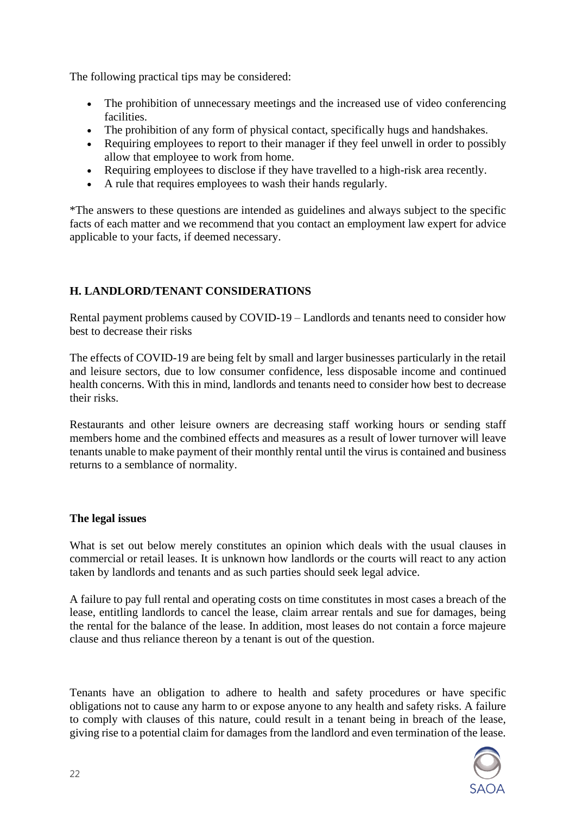The following practical tips may be considered:

- The prohibition of unnecessary meetings and the increased use of video conferencing facilities.
- The prohibition of any form of physical contact, specifically hugs and handshakes.
- Requiring employees to report to their manager if they feel unwell in order to possibly allow that employee to work from home.
- Requiring employees to disclose if they have travelled to a high-risk area recently.
- A rule that requires employees to wash their hands regularly.

\*The answers to these questions are intended as guidelines and always subject to the specific facts of each matter and we recommend that you contact an employment law expert for advice applicable to your facts, if deemed necessary.

# **H. LANDLORD/TENANT CONSIDERATIONS**

Rental payment problems caused by COVID-19 – Landlords and tenants need to consider how best to decrease their risks

The effects of COVID-19 are being felt by small and larger businesses particularly in the retail and leisure sectors, due to low consumer confidence, less disposable income and continued health concerns. With this in mind, landlords and tenants need to consider how best to decrease their risks.

Restaurants and other leisure owners are decreasing staff working hours or sending staff members home and the combined effects and measures as a result of lower turnover will leave tenants unable to make payment of their monthly rental until the virus is contained and business returns to a semblance of normality.

#### **The legal issues**

What is set out below merely constitutes an opinion which deals with the usual clauses in commercial or retail leases. It is unknown how landlords or the courts will react to any action taken by landlords and tenants and as such parties should seek legal advice.

A failure to pay full rental and operating costs on time constitutes in most cases a breach of the lease, entitling landlords to cancel the lease, claim arrear rentals and sue for damages, being the rental for the balance of the lease. In addition, most leases do not contain a force majeure clause and thus reliance thereon by a tenant is out of the question.

Tenants have an obligation to adhere to health and safety procedures or have specific obligations not to cause any harm to or expose anyone to any health and safety risks. A failure to comply with clauses of this nature, could result in a tenant being in breach of the lease, giving rise to a potential claim for damages from the landlord and even termination of the lease.

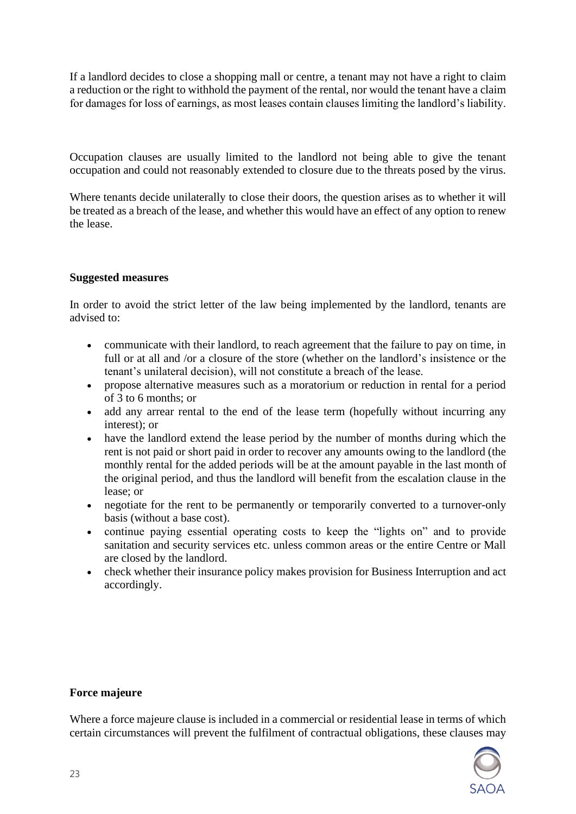If a landlord decides to close a shopping mall or centre, a tenant may not have a right to claim a reduction or the right to withhold the payment of the rental, nor would the tenant have a claim for damages for loss of earnings, as most leases contain clauses limiting the landlord's liability.

Occupation clauses are usually limited to the landlord not being able to give the tenant occupation and could not reasonably extended to closure due to the threats posed by the virus.

Where tenants decide unilaterally to close their doors, the question arises as to whether it will be treated as a breach of the lease, and whether this would have an effect of any option to renew the lease.

## **Suggested measures**

In order to avoid the strict letter of the law being implemented by the landlord, tenants are advised to:

- communicate with their landlord, to reach agreement that the failure to pay on time, in full or at all and /or a closure of the store (whether on the landlord's insistence or the tenant's unilateral decision), will not constitute a breach of the lease.
- propose alternative measures such as a moratorium or reduction in rental for a period of 3 to 6 months; or
- add any arrear rental to the end of the lease term (hopefully without incurring any interest); or
- have the landlord extend the lease period by the number of months during which the rent is not paid or short paid in order to recover any amounts owing to the landlord (the monthly rental for the added periods will be at the amount payable in the last month of the original period, and thus the landlord will benefit from the escalation clause in the lease; or
- negotiate for the rent to be permanently or temporarily converted to a turnover-only basis (without a base cost).
- continue paying essential operating costs to keep the "lights on" and to provide sanitation and security services etc. unless common areas or the entire Centre or Mall are closed by the landlord.
- check whether their insurance policy makes provision for Business Interruption and act accordingly.

## **Force majeure**

Where a force majeure clause is included in a commercial or residential lease in terms of which certain circumstances will prevent the fulfilment of contractual obligations, these clauses may

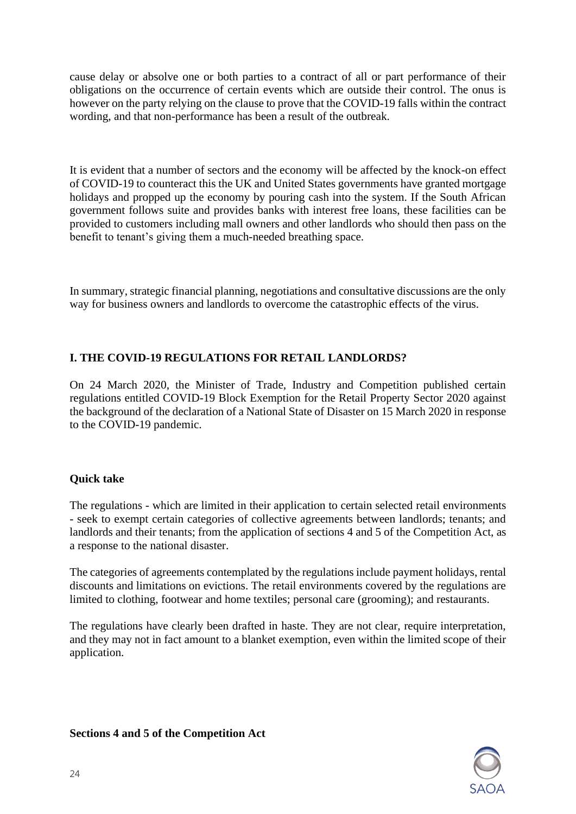cause delay or absolve one or both parties to a contract of all or part performance of their obligations on the occurrence of certain events which are outside their control. The onus is however on the party relying on the clause to prove that the COVID-19 falls within the contract wording, and that non-performance has been a result of the outbreak.

It is evident that a number of sectors and the economy will be affected by the knock-on effect of COVID-19 to counteract this the UK and United States governments have granted mortgage holidays and propped up the economy by pouring cash into the system. If the South African government follows suite and provides banks with interest free loans, these facilities can be provided to customers including mall owners and other landlords who should then pass on the benefit to tenant's giving them a much-needed breathing space.

In summary, strategic financial planning, negotiations and consultative discussions are the only way for business owners and landlords to overcome the catastrophic effects of the virus.

# **I. THE COVID-19 REGULATIONS FOR RETAIL LANDLORDS?**

On 24 March 2020, the Minister of Trade, Industry and Competition published certain regulations entitled COVID-19 Block Exemption for the Retail Property Sector 2020 against the background of the declaration of a National State of Disaster on 15 March 2020 in response to the COVID-19 pandemic.

## **Quick take**

The regulations - which are limited in their application to certain selected retail environments - seek to exempt certain categories of collective agreements between landlords; tenants; and landlords and their tenants; from the application of sections 4 and 5 of the Competition Act, as a response to the national disaster.

The categories of agreements contemplated by the regulations include payment holidays, rental discounts and limitations on evictions. The retail environments covered by the regulations are limited to clothing, footwear and home textiles; personal care (grooming); and restaurants.

The regulations have clearly been drafted in haste. They are not clear, require interpretation, and they may not in fact amount to a blanket exemption, even within the limited scope of their application.

## **Sections 4 and 5 of the Competition Act**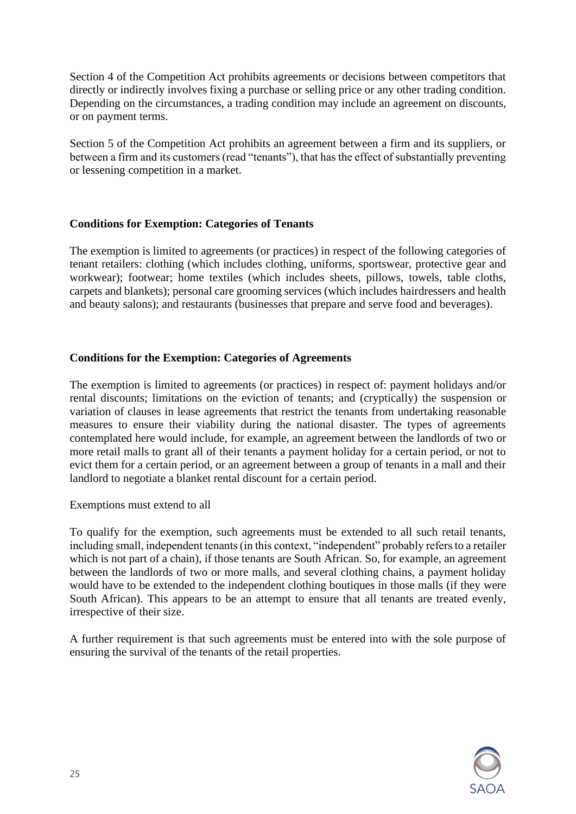Section 4 of the Competition Act prohibits agreements or decisions between competitors that directly or indirectly involves fixing a purchase or selling price or any other trading condition. Depending on the circumstances, a trading condition may include an agreement on discounts, or on payment terms.

Section 5 of the Competition Act prohibits an agreement between a firm and its suppliers, or between a firm and its customers (read "tenants"), that has the effect of substantially preventing or lessening competition in a market.

## **Conditions for Exemption: Categories of Tenants**

The exemption is limited to agreements (or practices) in respect of the following categories of tenant retailers: clothing (which includes clothing, uniforms, sportswear, protective gear and workwear); footwear; home textiles (which includes sheets, pillows, towels, table cloths, carpets and blankets); personal care grooming services (which includes hairdressers and health and beauty salons); and restaurants (businesses that prepare and serve food and beverages).

#### **Conditions for the Exemption: Categories of Agreements**

The exemption is limited to agreements (or practices) in respect of: payment holidays and/or rental discounts; limitations on the eviction of tenants; and (cryptically) the suspension or variation of clauses in lease agreements that restrict the tenants from undertaking reasonable measures to ensure their viability during the national disaster. The types of agreements contemplated here would include, for example, an agreement between the landlords of two or more retail malls to grant all of their tenants a payment holiday for a certain period, or not to evict them for a certain period, or an agreement between a group of tenants in a mall and their landlord to negotiate a blanket rental discount for a certain period.

#### Exemptions must extend to all

To qualify for the exemption, such agreements must be extended to all such retail tenants, including small, independent tenants (in this context, "independent" probably refers to a retailer which is not part of a chain), if those tenants are South African. So, for example, an agreement between the landlords of two or more malls, and several clothing chains, a payment holiday would have to be extended to the independent clothing boutiques in those malls (if they were South African). This appears to be an attempt to ensure that all tenants are treated evenly, irrespective of their size.

A further requirement is that such agreements must be entered into with the sole purpose of ensuring the survival of the tenants of the retail properties.

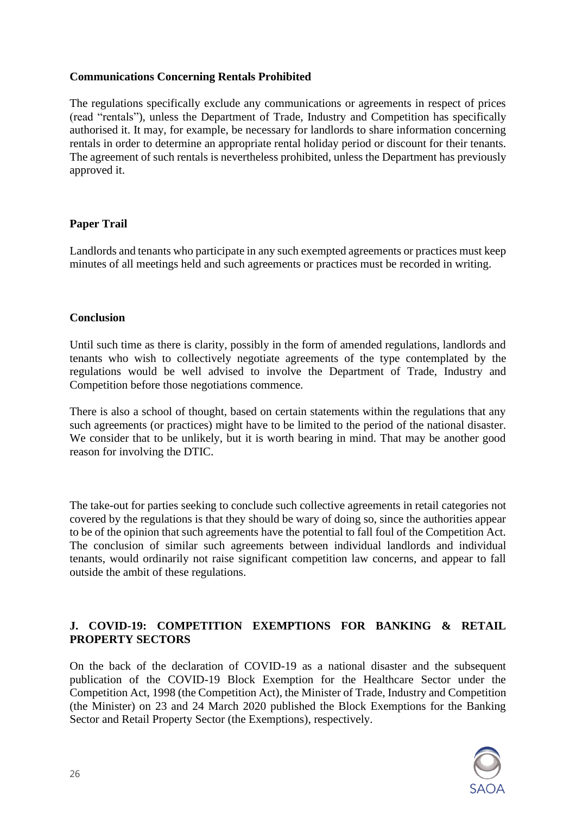## **Communications Concerning Rentals Prohibited**

The regulations specifically exclude any communications or agreements in respect of prices (read "rentals"), unless the Department of Trade, Industry and Competition has specifically authorised it. It may, for example, be necessary for landlords to share information concerning rentals in order to determine an appropriate rental holiday period or discount for their tenants. The agreement of such rentals is nevertheless prohibited, unless the Department has previously approved it.

## **Paper Trail**

Landlords and tenants who participate in any such exempted agreements or practices must keep minutes of all meetings held and such agreements or practices must be recorded in writing.

#### **Conclusion**

Until such time as there is clarity, possibly in the form of amended regulations, landlords and tenants who wish to collectively negotiate agreements of the type contemplated by the regulations would be well advised to involve the Department of Trade, Industry and Competition before those negotiations commence.

There is also a school of thought, based on certain statements within the regulations that any such agreements (or practices) might have to be limited to the period of the national disaster. We consider that to be unlikely, but it is worth bearing in mind. That may be another good reason for involving the DTIC.

The take-out for parties seeking to conclude such collective agreements in retail categories not covered by the regulations is that they should be wary of doing so, since the authorities appear to be of the opinion that such agreements have the potential to fall foul of the Competition Act. The conclusion of similar such agreements between individual landlords and individual tenants, would ordinarily not raise significant competition law concerns, and appear to fall outside the ambit of these regulations.

## **J. COVID-19: COMPETITION EXEMPTIONS FOR BANKING & RETAIL PROPERTY SECTORS**

On the back of the declaration of COVID-19 as a national disaster and the subsequent publication of the COVID-19 Block Exemption for the Healthcare Sector under the Competition Act, 1998 (the Competition Act), the Minister of Trade, Industry and Competition (the Minister) on 23 and 24 March 2020 published the Block Exemptions for the Banking Sector and Retail Property Sector (the Exemptions), respectively.

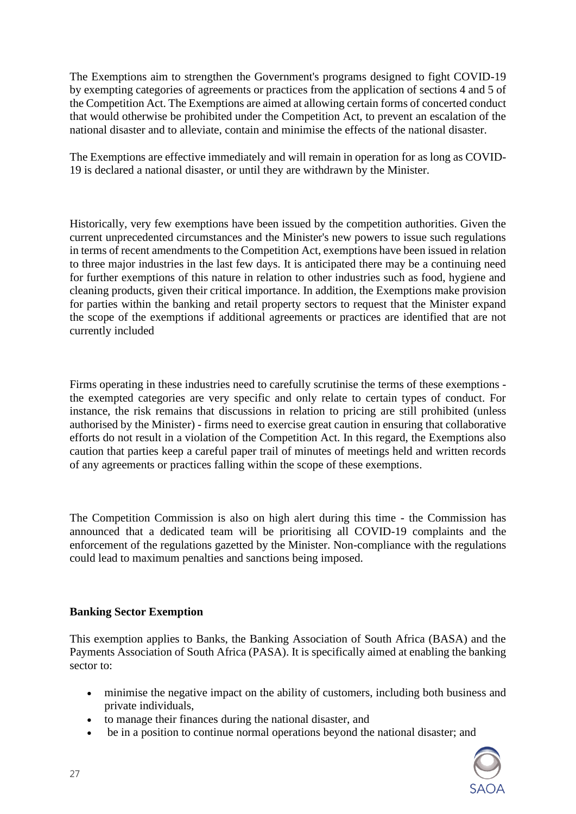The Exemptions aim to strengthen the Government's programs designed to fight COVID-19 by exempting categories of agreements or practices from the application of sections 4 and 5 of the Competition Act. The Exemptions are aimed at allowing certain forms of concerted conduct that would otherwise be prohibited under the Competition Act, to prevent an escalation of the national disaster and to alleviate, contain and minimise the effects of the national disaster.

The Exemptions are effective immediately and will remain in operation for as long as COVID-19 is declared a national disaster, or until they are withdrawn by the Minister.

Historically, very few exemptions have been issued by the competition authorities. Given the current unprecedented circumstances and the Minister's new powers to issue such regulations in terms of recent amendments to the Competition Act, exemptions have been issued in relation to three major industries in the last few days. It is anticipated there may be a continuing need for further exemptions of this nature in relation to other industries such as food, hygiene and cleaning products, given their critical importance. In addition, the Exemptions make provision for parties within the banking and retail property sectors to request that the Minister expand the scope of the exemptions if additional agreements or practices are identified that are not currently included

Firms operating in these industries need to carefully scrutinise the terms of these exemptions the exempted categories are very specific and only relate to certain types of conduct. For instance, the risk remains that discussions in relation to pricing are still prohibited (unless authorised by the Minister) - firms need to exercise great caution in ensuring that collaborative efforts do not result in a violation of the Competition Act. In this regard, the Exemptions also caution that parties keep a careful paper trail of minutes of meetings held and written records of any agreements or practices falling within the scope of these exemptions.

The Competition Commission is also on high alert during this time - the Commission has announced that a dedicated team will be prioritising all COVID-19 complaints and the enforcement of the regulations gazetted by the Minister. Non-compliance with the regulations could lead to maximum penalties and sanctions being imposed.

## **Banking Sector Exemption**

This exemption applies to Banks, the Banking Association of South Africa (BASA) and the Payments Association of South Africa (PASA). It is specifically aimed at enabling the banking sector to:

- minimise the negative impact on the ability of customers, including both business and private individuals,
- to manage their finances during the national disaster, and
- be in a position to continue normal operations beyond the national disaster; and

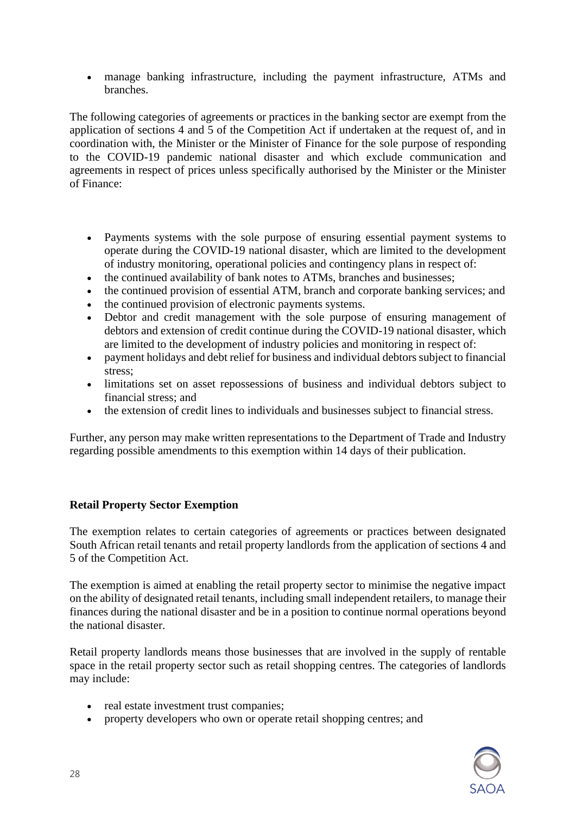• manage banking infrastructure, including the payment infrastructure, ATMs and branches.

The following categories of agreements or practices in the banking sector are exempt from the application of sections 4 and 5 of the Competition Act if undertaken at the request of, and in coordination with, the Minister or the Minister of Finance for the sole purpose of responding to the COVID-19 pandemic national disaster and which exclude communication and agreements in respect of prices unless specifically authorised by the Minister or the Minister of Finance:

- Payments systems with the sole purpose of ensuring essential payment systems to operate during the COVID-19 national disaster, which are limited to the development of industry monitoring, operational policies and contingency plans in respect of:
- the continued availability of bank notes to ATMs, branches and businesses;
- the continued provision of essential ATM, branch and corporate banking services; and
- the continued provision of electronic payments systems.
- Debtor and credit management with the sole purpose of ensuring management of debtors and extension of credit continue during the COVID-19 national disaster, which are limited to the development of industry policies and monitoring in respect of:
- payment holidays and debt relief for business and individual debtors subject to financial stress;
- limitations set on asset repossessions of business and individual debtors subject to financial stress; and
- the extension of credit lines to individuals and businesses subject to financial stress.

Further, any person may make written representations to the Department of Trade and Industry regarding possible amendments to this exemption within 14 days of their publication.

## **Retail Property Sector Exemption**

The exemption relates to certain categories of agreements or practices between designated South African retail tenants and retail property landlords from the application of sections 4 and 5 of the Competition Act.

The exemption is aimed at enabling the retail property sector to minimise the negative impact on the ability of designated retail tenants, including small independent retailers, to manage their finances during the national disaster and be in a position to continue normal operations beyond the national disaster.

Retail property landlords means those businesses that are involved in the supply of rentable space in the retail property sector such as retail shopping centres. The categories of landlords may include:

- real estate investment trust companies;
- property developers who own or operate retail shopping centres; and

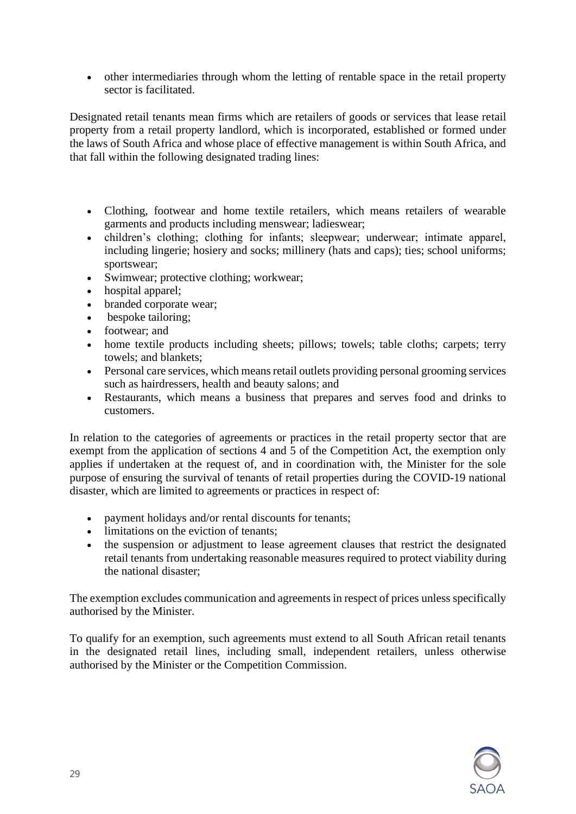• other intermediaries through whom the letting of rentable space in the retail property sector is facilitated.

Designated retail tenants mean firms which are retailers of goods or services that lease retail property from a retail property landlord, which is incorporated, established or formed under the laws of South Africa and whose place of effective management is within South Africa, and that fall within the following designated trading lines:

- Clothing, footwear and home textile retailers, which means retailers of wearable garments and products including menswear; ladieswear;
- children's clothing; clothing for infants; sleepwear; underwear; intimate apparel, including lingerie; hosiery and socks; millinery (hats and caps); ties; school uniforms; sportswear;
- Swimwear; protective clothing; workwear;
- hospital apparel;
- branded corporate wear;
- bespoke tailoring;
- footwear; and
- home textile products including sheets; pillows; towels; table cloths; carpets; terry towels; and blankets;
- Personal care services, which means retail outlets providing personal grooming services such as hairdressers, health and beauty salons; and
- Restaurants, which means a business that prepares and serves food and drinks to customers.

In relation to the categories of agreements or practices in the retail property sector that are exempt from the application of sections 4 and 5 of the Competition Act, the exemption only applies if undertaken at the request of, and in coordination with, the Minister for the sole purpose of ensuring the survival of tenants of retail properties during the COVID-19 national disaster, which are limited to agreements or practices in respect of:

- payment holidays and/or rental discounts for tenants;
- limitations on the eviction of tenants;
- the suspension or adjustment to lease agreement clauses that restrict the designated retail tenants from undertaking reasonable measures required to protect viability during the national disaster;

The exemption excludes communication and agreements in respect of prices unless specifically authorised by the Minister.

To qualify for an exemption, such agreements must extend to all South African retail tenants in the designated retail lines, including small, independent retailers, unless otherwise authorised by the Minister or the Competition Commission.

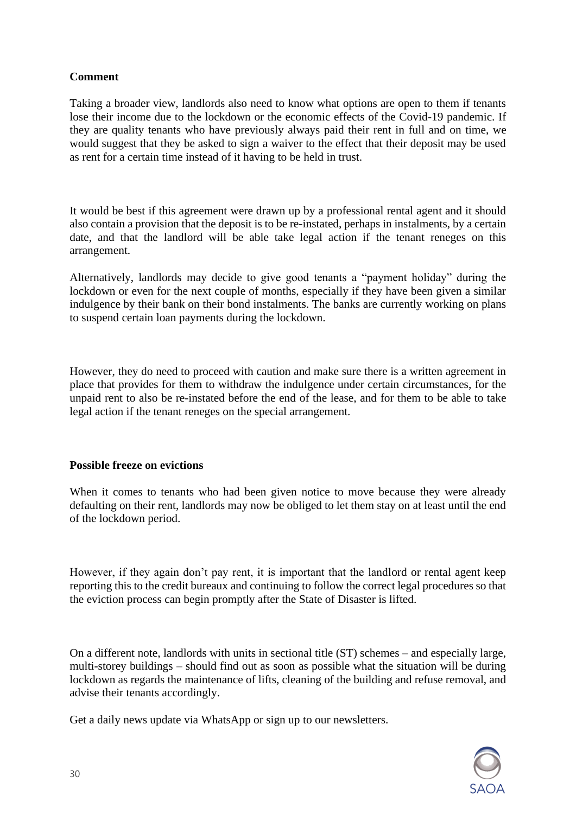# **Comment**

Taking a broader view, landlords also need to know what options are open to them if tenants lose their income due to the lockdown or the economic effects of the Covid-19 pandemic. If they are quality tenants who have previously always paid their rent in full and on time, we would suggest that they be asked to sign a waiver to the effect that their deposit may be used as rent for a certain time instead of it having to be held in trust.

It would be best if this agreement were drawn up by a professional rental agent and it should also contain a provision that the deposit is to be re-instated, perhaps in instalments, by a certain date, and that the landlord will be able take legal action if the tenant reneges on this arrangement.

Alternatively, landlords may decide to give good tenants a "payment holiday" during the lockdown or even for the next couple of months, especially if they have been given a similar indulgence by their bank on their bond instalments. The banks are currently working on plans to suspend certain loan payments during the lockdown.

However, they do need to proceed with caution and make sure there is a written agreement in place that provides for them to withdraw the indulgence under certain circumstances, for the unpaid rent to also be re-instated before the end of the lease, and for them to be able to take legal action if the tenant reneges on the special arrangement.

## **Possible freeze on evictions**

When it comes to tenants who had been given notice to move because they were already defaulting on their rent, landlords may now be obliged to let them stay on at least until the end of the lockdown period.

However, if they again don't pay rent, it is important that the landlord or rental agent keep reporting this to the credit bureaux and continuing to follow the correct legal procedures so that the eviction process can begin promptly after the State of Disaster is lifted.

On a different note, landlords with units in sectional title (ST) schemes – and especially large, multi-storey buildings – should find out as soon as possible what the situation will be during lockdown as regards the maintenance of lifts, cleaning of the building and refuse removal, and advise their tenants accordingly.

Get a daily news update via WhatsApp or sign up to our newsletters.

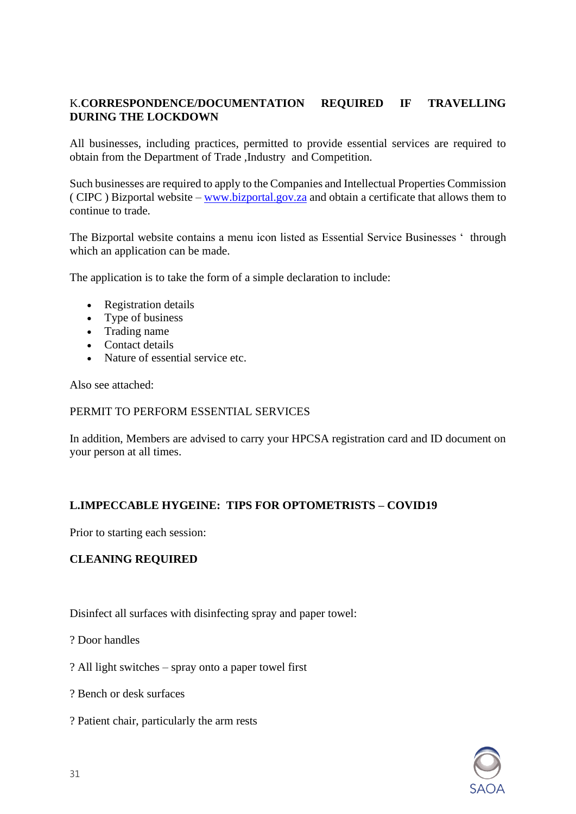# K.**CORRESPONDENCE/DOCUMENTATION REQUIRED IF TRAVELLING DURING THE LOCKDOWN**

All businesses, including practices, permitted to provide essential services are required to obtain from the Department of Trade ,Industry and Competition.

Such businesses are required to apply to the Companies and Intellectual Properties Commission ( CIPC ) Bizportal website – [www.bizportal.gov.za](http://www.bizportal.gov.za/) and obtain a certificate that allows them to continue to trade.

The Bizportal website contains a menu icon listed as Essential Service Businesses ' through which an application can be made.

The application is to take the form of a simple declaration to include:

- Registration details
- Type of business
- Trading name
- Contact details
- Nature of essential service etc.

Also see attached:

## PERMIT TO PERFORM ESSENTIAL SERVICES

In addition, Members are advised to carry your HPCSA registration card and ID document on your person at all times.

# **L.IMPECCABLE HYGEINE: TIPS FOR OPTOMETRISTS – COVID19**

Prior to starting each session:

## **CLEANING REQUIRED**

Disinfect all surfaces with disinfecting spray and paper towel:

? Door handles

- ? All light switches spray onto a paper towel first
- ? Bench or desk surfaces
- ? Patient chair, particularly the arm rests

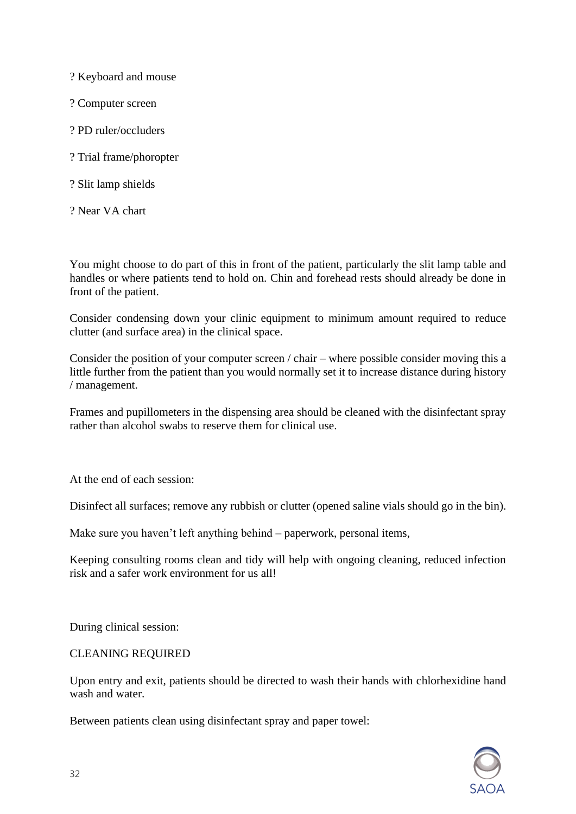? Keyboard and mouse

? Computer screen

- ? PD ruler/occluders
- ? Trial frame/phoropter
- ? Slit lamp shields
- ? Near VA chart

You might choose to do part of this in front of the patient, particularly the slit lamp table and handles or where patients tend to hold on. Chin and forehead rests should already be done in front of the patient.

Consider condensing down your clinic equipment to minimum amount required to reduce clutter (and surface area) in the clinical space.

Consider the position of your computer screen / chair – where possible consider moving this a little further from the patient than you would normally set it to increase distance during history / management.

Frames and pupillometers in the dispensing area should be cleaned with the disinfectant spray rather than alcohol swabs to reserve them for clinical use.

At the end of each session:

Disinfect all surfaces; remove any rubbish or clutter (opened saline vials should go in the bin).

Make sure you haven't left anything behind – paperwork, personal items,

Keeping consulting rooms clean and tidy will help with ongoing cleaning, reduced infection risk and a safer work environment for us all!

During clinical session:

## CLEANING REQUIRED

Upon entry and exit, patients should be directed to wash their hands with chlorhexidine hand wash and water.

Between patients clean using disinfectant spray and paper towel:

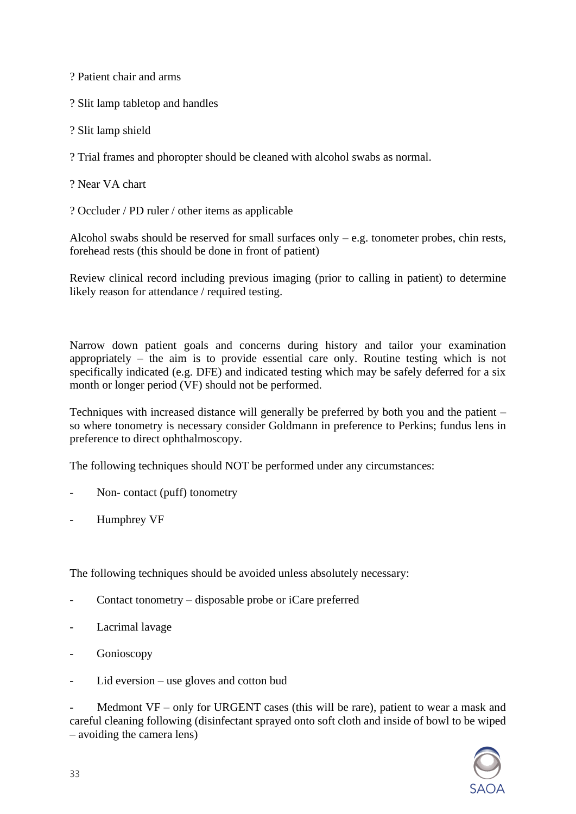? Patient chair and arms

? Slit lamp tabletop and handles

? Slit lamp shield

? Trial frames and phoropter should be cleaned with alcohol swabs as normal.

? Near VA chart

? Occluder / PD ruler / other items as applicable

Alcohol swabs should be reserved for small surfaces only – e.g. tonometer probes, chin rests, forehead rests (this should be done in front of patient)

Review clinical record including previous imaging (prior to calling in patient) to determine likely reason for attendance / required testing.

Narrow down patient goals and concerns during history and tailor your examination appropriately – the aim is to provide essential care only. Routine testing which is not specifically indicated (e.g. DFE) and indicated testing which may be safely deferred for a six month or longer period (VF) should not be performed.

Techniques with increased distance will generally be preferred by both you and the patient – so where tonometry is necessary consider Goldmann in preference to Perkins; fundus lens in preference to direct ophthalmoscopy.

The following techniques should NOT be performed under any circumstances:

- Non- contact (puff) tonometry
- Humphrey VF

The following techniques should be avoided unless absolutely necessary:

- Contact tonometry disposable probe or iCare preferred
- Lacrimal lavage
- Gonioscopy
- $Lid$  eversion use gloves and cotton bud

Medmont  $VF - only for URGENT cases$  (this will be rare), patient to wear a mask and careful cleaning following (disinfectant sprayed onto soft cloth and inside of bowl to be wiped – avoiding the camera lens)

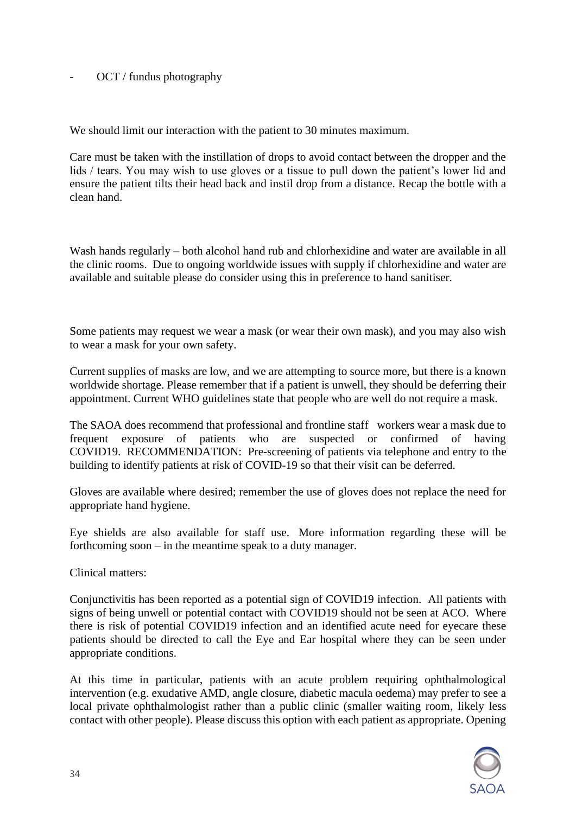OCT / fundus photography

We should limit our interaction with the patient to 30 minutes maximum.

Care must be taken with the instillation of drops to avoid contact between the dropper and the lids / tears. You may wish to use gloves or a tissue to pull down the patient's lower lid and ensure the patient tilts their head back and instil drop from a distance. Recap the bottle with a clean hand.

Wash hands regularly – both alcohol hand rub and chlorhexidine and water are available in all the clinic rooms. Due to ongoing worldwide issues with supply if chlorhexidine and water are available and suitable please do consider using this in preference to hand sanitiser.

Some patients may request we wear a mask (or wear their own mask), and you may also wish to wear a mask for your own safety.

Current supplies of masks are low, and we are attempting to source more, but there is a known worldwide shortage. Please remember that if a patient is unwell, they should be deferring their appointment. Current WHO guidelines state that people who are well do not require a mask.

The SAOA does recommend that professional and frontline staff workers wear a mask due to frequent exposure of patients who are suspected or confirmed of having COVID19. RECOMMENDATION: Pre-screening of patients via telephone and entry to the building to identify patients at risk of COVID-19 so that their visit can be deferred.

Gloves are available where desired; remember the use of gloves does not replace the need for appropriate hand hygiene.

Eye shields are also available for staff use. More information regarding these will be forthcoming soon – in the meantime speak to a duty manager.

Clinical matters:

Conjunctivitis has been reported as a potential sign of COVID19 infection. All patients with signs of being unwell or potential contact with COVID19 should not be seen at ACO. Where there is risk of potential COVID19 infection and an identified acute need for eyecare these patients should be directed to call the Eye and Ear hospital where they can be seen under appropriate conditions.

At this time in particular, patients with an acute problem requiring ophthalmological intervention (e.g. exudative AMD, angle closure, diabetic macula oedema) may prefer to see a local private ophthalmologist rather than a public clinic (smaller waiting room, likely less contact with other people). Please discuss this option with each patient as appropriate. Opening

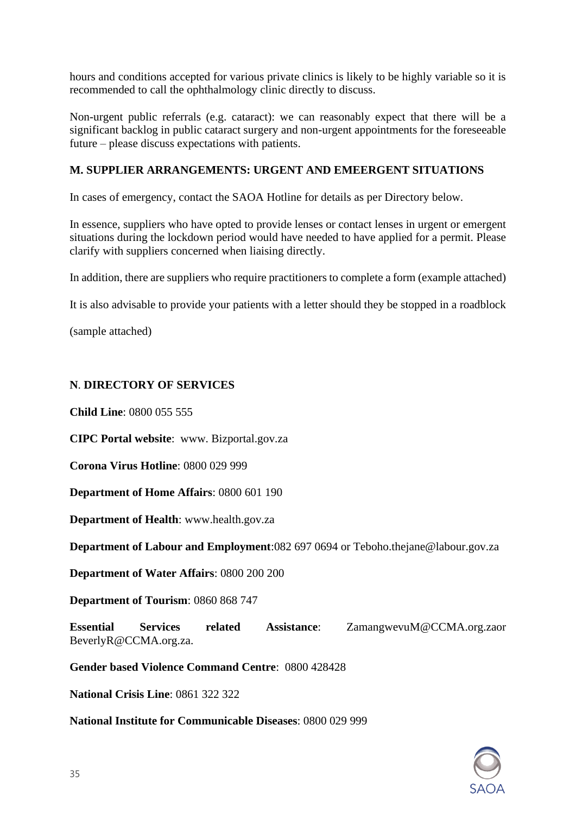hours and conditions accepted for various private clinics is likely to be highly variable so it is recommended to call the ophthalmology clinic directly to discuss.

Non-urgent public referrals (e.g. cataract): we can reasonably expect that there will be a significant backlog in public cataract surgery and non-urgent appointments for the foreseeable future – please discuss expectations with patients.

## **M. SUPPLIER ARRANGEMENTS: URGENT AND EMEERGENT SITUATIONS**

In cases of emergency, contact the SAOA Hotline for details as per Directory below.

In essence, suppliers who have opted to provide lenses or contact lenses in urgent or emergent situations during the lockdown period would have needed to have applied for a permit. Please clarify with suppliers concerned when liaising directly.

In addition, there are suppliers who require practitioners to complete a form (example attached)

It is also advisable to provide your patients with a letter should they be stopped in a roadblock

(sample attached)

## **N**. **DIRECTORY OF SERVICES**

**Child Line**: 0800 055 555

**CIPC Portal website**: www. Bizportal.gov.za

**Corona Virus Hotline**: 0800 029 999

**Department of Home Affairs**: 0800 601 190

**Department of Health**: www.health.gov.za

**Department of Labour and Employment**:082 697 0694 or Teboho.thejane@labour.gov.za

**Department of Water Affairs**: 0800 200 200

**Department of Tourism**: 0860 868 747

**Essential Services related Assistance**: ZamangwevuM@CCMA.org.zaor BeverlyR@CCMA.org.za.

**Gender based Violence Command Centre**: 0800 428428

**National Crisis Line**: 0861 322 322

**National Institute for Communicable Diseases**: 0800 029 999

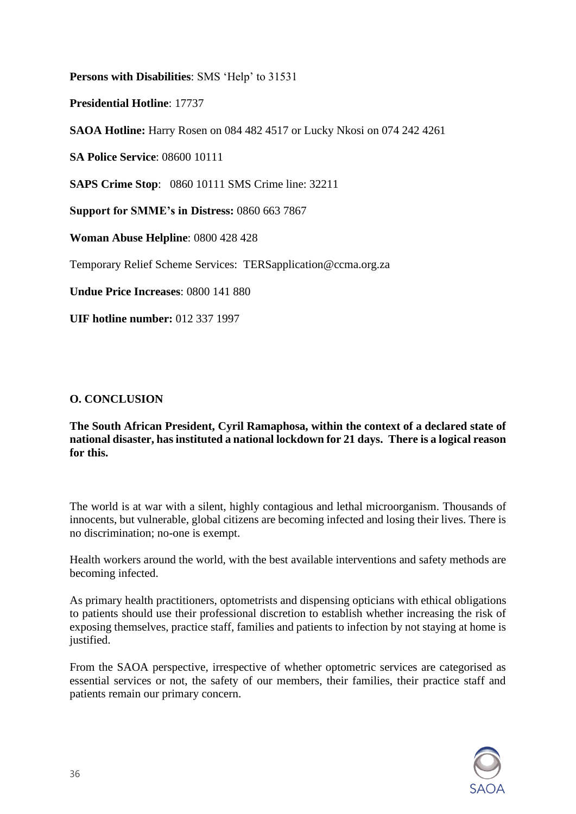**Persons with Disabilities**: SMS 'Help' to 31531

**Presidential Hotline**: 17737

**SAOA Hotline:** Harry Rosen on 084 482 4517 or Lucky Nkosi on 074 242 4261

**SA Police Service**: 08600 10111

**SAPS Crime Stop**: 0860 10111 SMS Crime line: 32211

**Support for SMME's in Distress:** 0860 663 7867

**Woman Abuse Helpline**: 0800 428 428

Temporary Relief Scheme Services: TERSapplication@ccma.org.za

**Undue Price Increases**: 0800 141 880

**UIF hotline number:** 012 337 1997

# **O. CONCLUSION**

**The South African President, Cyril Ramaphosa, within the context of a declared state of national disaster, has instituted a national lockdown for 21 days. There is a logical reason for this.** 

The world is at war with a silent, highly contagious and lethal microorganism. Thousands of innocents, but vulnerable, global citizens are becoming infected and losing their lives. There is no discrimination; no-one is exempt.

Health workers around the world, with the best available interventions and safety methods are becoming infected.

As primary health practitioners, optometrists and dispensing opticians with ethical obligations to patients should use their professional discretion to establish whether increasing the risk of exposing themselves, practice staff, families and patients to infection by not staying at home is justified.

From the SAOA perspective, irrespective of whether optometric services are categorised as essential services or not, the safety of our members, their families, their practice staff and patients remain our primary concern.